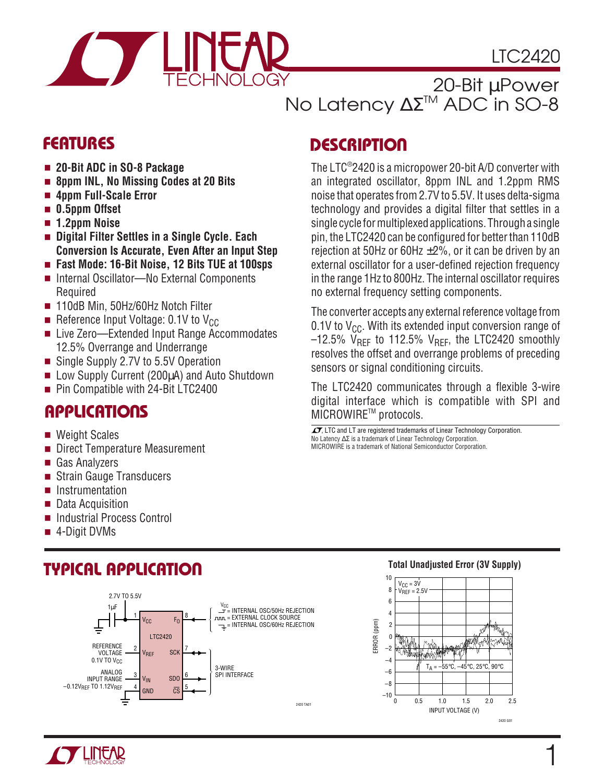

LTC2420

20-Bit µPower No Latency ΔΣ<sup>™</sup> ADC in SO-8

- **20-Bit ADC in SO-8 Package**
- **8ppm INL, No Missing Codes at 20 Bits**
- 4ppm Full-Scale Error
- 0.5ppm Offset
- **1.2ppm Noise**
- **Digital Filter Settles in a Single Cycle. Each Conversion Is Accurate, Even After an Input Step**
- **Fast Mode: 16-Bit Noise, 12 Bits TUE at 100sps**
- Internal Oscillator—No External Components Required
- 110dB Min, 50Hz/60Hz Notch Filter
- Reference Input Voltage: 0.1V to  $V_{CC}$
- Live Zero—Extended Input Range Accommodates 12.5% Overrange and Underrange
- Single Supply 2.7V to 5.5V Operation
- Low Supply Current (200µA) and Auto Shutdown
- Pin Compatible with 24-Bit LTC2400

### **APPLICATIONS**

- Weight Scales
- Direct Temperature Measurement
- Gas Analyzers
- Strain Gauge Transducers
- Instrumentation
- Data Acquisition
- Industrial Process Control
- 4-Digit DVMs

### **TYPICAL APPLICATION**



# **FEATURES DESCRIPTIO <sup>U</sup>**

The LTC® 2420 is a micropower 20-bit A/D converter with an integrated oscillator, 8ppm INL and 1.2ppm RMS noise that operates from 2.7V to 5.5V. It uses delta-sigma technology and provides a digital filter that settles in a single cycle for multiplexed applications. Through a single pin, the LTC2420 can be configured for better than 110dB rejection at 50Hz or 60Hz  $\pm$ 2%, or it can be driven by an external oscillator for a user-defined rejection frequency in the range 1Hz to 800Hz. The internal oscillator requires no external frequency setting components.

The converter accepts any external reference voltage from 0.1V to  $V_{CC}$ . With its extended input conversion range of  $-12.5\%$  V<sub>RFF</sub> to 112.5% V<sub>RFF</sub>, the LTC2420 smoothly resolves the offset and overrange problems of preceding sensors or signal conditioning circuits.

The LTC2420 communicates through a flexible 3-wire digital interface which is compatible with SPI and MICROWIRETM protocols.

No Latency ∆Σ is a trademark of Linear Technology Corporation. MICROWIRE is a trademark of National Semiconductor Corporation.  $\overline{\mathcal{A}}$ , LTC and LT are registered trademarks of Linear Technology Corporation.



#### **Total Unadjusted Error (3V Supply)**

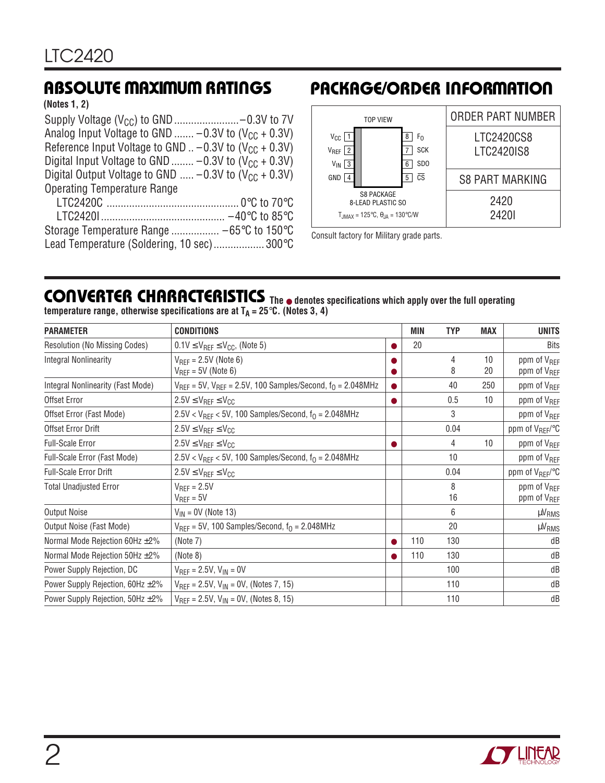**(Notes 1, 2)**

| Analog Input Voltage to GND $-0.3V$ to (V <sub>CC</sub> + 0.3V) |  |
|-----------------------------------------------------------------|--|
| Reference Input Voltage to GND $. -0.3V$ to $(V_{CC} + 0.3V)$   |  |
| Digital Input Voltage to GND  -0.3V to $(V_{CC} + 0.3V)$        |  |
| Digital Output Voltage to GND $-0.3V$ to $(V_{CC} + 0.3V)$      |  |
| <b>Operating Temperature Range</b>                              |  |
|                                                                 |  |

| Lead Temperature (Soldering, 10 sec) 300°C |  |
|--------------------------------------------|--|

### **ABSOLUTE MAXIMUM RATINGS PACKAGE/ORDER INFORMATION**



Consult factory for Military grade parts.

#### **The** ● **denotes specifications which apply over the full operating temperature range, otherwise specifications are at TA = 25**°**C. (Notes 3, 4) CONVERTER CHARACTERISTICS U**

| <b>PARAMETER</b>                       | <b>CONDITIONS</b>                                                      |           | <b>MIN</b> | <b>TYP</b> | <b>MAX</b> | <b>UNITS</b>                                       |
|----------------------------------------|------------------------------------------------------------------------|-----------|------------|------------|------------|----------------------------------------------------|
| Resolution (No Missing Codes)          | $0.1$ V $\leq$ V <sub>REF</sub> $\leq$ V <sub>CC</sub> , (Note 5)      |           | 20         |            |            | Bits                                               |
| <b>Integral Nonlinearity</b>           | $V_{\text{RFF}} = 2.5V$ (Note 6)<br>$V_{\text{RFF}}$ = 5V (Note 6)     |           |            | 4<br>8     | 10<br>20   | ppm of V <sub>REF</sub><br>ppm of V <sub>REF</sub> |
| Integral Nonlinearity (Fast Mode)      | $V_{REF}$ = 5V, $V_{REF}$ = 2.5V, 100 Samples/Second, $f_0$ = 2.048MHz |           |            | 40         | 250        | ppm of V <sub>REF</sub>                            |
| Offset Error                           | $2.5V \leq V_{REF} \leq V_{CC}$                                        |           |            | 0.5        | 10         | ppm of V <sub>REF</sub>                            |
| Offset Error (Fast Mode)               | $2.5V < V_{REF} < 5V$ , 100 Samples/Second, $f_0 = 2.048 MHz$          |           |            | 3          |            | ppm of V <sub>REF</sub>                            |
| Offset Error Drift                     | $2.5V \leq V_{REF} \leq V_{CC}$                                        |           |            | 0.04       |            | ppm of V <sub>REF</sub> /°C                        |
| <b>Full-Scale Error</b>                | $2.5V \leq V_{REF} \leq V_{CC}$                                        |           |            | 4          | 10         | ppm of V <sub>RFF</sub>                            |
| Full-Scale Error (Fast Mode)           | $2.5V < V_{REF} < 5V$ , 100 Samples/Second, $f_0 = 2.048 MHz$          |           |            | 10         |            | ppm of V <sub>REF</sub>                            |
| <b>Full-Scale Error Drift</b>          | $2.5V \leq V_{REF} \leq V_{CC}$                                        |           |            | 0.04       |            | ppm of V <sub>REF</sub> /°C                        |
| <b>Total Unadjusted Error</b>          | $V_{REF} = 2.5V$<br>$V_{REF} = 5V$                                     |           |            | 8<br>16    |            | ppm of V <sub>RFF</sub><br>ppm of V <sub>REF</sub> |
| <b>Output Noise</b>                    | $V_{IN} = 0V$ (Note 13)                                                |           |            | 6          |            | µV <sub>RMS</sub>                                  |
| Output Noise (Fast Mode)               | $V_{\text{RFF}}$ = 5V, 100 Samples/Second, $f_0$ = 2.048MHz            |           |            | 20         |            | $\mu V_{RMS}$                                      |
| Normal Mode Rejection 60Hz ±2%         | (Note 7)                                                               |           | 110        | 130        |            | dB                                                 |
| Normal Mode Rejection 50Hz ±2%         | (Note 8)                                                               | $\bullet$ | 110        | 130        |            | dB                                                 |
| Power Supply Rejection, DC             | $V_{REF} = 2.5V, V_{IN} = 0V$                                          |           |            | 100        |            | dB                                                 |
| Power Supply Rejection, 60Hz ±2%       | $V_{REF} = 2.5V$ , $V_{IN} = 0V$ , (Notes 7, 15)                       |           |            | 110        |            | dB                                                 |
| Power Supply Rejection, $50Hz \pm 2\%$ | $V_{BFF} = 2.5V$ , $V_{IN} = 0V$ , (Notes 8, 15)                       |           |            | 110        |            | dB                                                 |

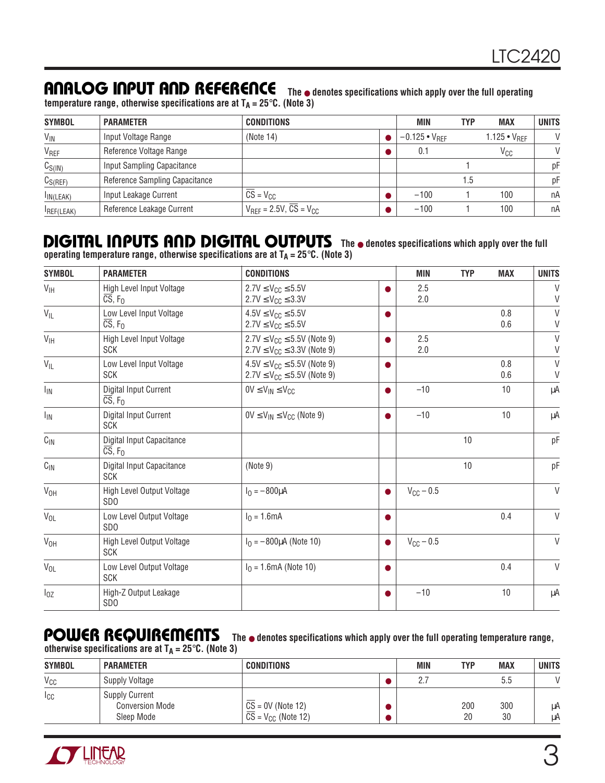### **ANALOG INPUT AND REFERENCE** The  $\bullet$  denotes specifications which apply over the full operating

**temperature range, otherwise specifications are at**  $T_A = 25^\circ \text{C}$ **. (Note 3)** 

| <b>SYMBOL</b>     | <b>PARAMETER</b>               | <b>CONDITIONS</b>                                                 | MIN                    | TYP | <b>MAX</b>            | <b>UNITS</b>  |
|-------------------|--------------------------------|-------------------------------------------------------------------|------------------------|-----|-----------------------|---------------|
| V <sub>IN</sub>   | Input Voltage Range            | (Note 14)                                                         | $-0.125 \cdot V_{RFF}$ |     | $1.125 \cdot V_{RFF}$ | $\mathsf{V}$  |
| VREF              | Reference Voltage Range        |                                                                   | 0.1                    |     | <b>V<sub>CC</sub></b> | $\mathcal{U}$ |
| $C_{S(1N)}$       | Input Sampling Capacitance     |                                                                   |                        |     |                       | рF            |
| $C_{S(REF)}$      | Reference Sampling Capacitance |                                                                   |                        | 1.5 |                       | рF            |
| IN(LEAK)          | Input Leakage Current          | $CS = V_{CC}$                                                     | $-100$                 |     | 100                   | nA            |
| <b>IREF(LEAK)</b> | Reference Leakage Current      | $V_{\text{RFF}}$ = 2.5V, $\overline{\text{CS}}$ = $V_{\text{CC}}$ | $-100$                 |     | 100                   | nA            |

#### **DIGITAL INPUTS AND DIGITAL OUTPUTS** The  $\bullet$  denotes specifications which apply over the full **operating temperature range, otherwise specifications are at TA = 25**°**C. (Note 3)**

**SYMBOL PARAMETER CONDITIONS MIN TYP MAX UNITS**  $V_{\text{IH}}$   $\left|\begin{array}{c} \text{High Level Input Voltage} \\ \overline{\text{CS}}, \ F_0 \end{array}\right|$   $2.7V \leq V_{\text{CC}} \leq 5.5V$   $\left|\begin{array}{c} \text{O} \\ \text{2.7V} \leq V_{\text{CC}} \leq 3.3V \end{array}\right|$   $2.5$  2.5  $2.7V \leq V_{CC} \leq 3.3V$  $V_{\text{IL}}$   $\begin{array}{|l|c|c|c|c|c|c|}\hline \text{Low Level Input Voltage} & & 4.5\text{V} \leq \text{V}_{\text{CC}} \leq 5.5\text{V} & & & \bullet & & 0.8 & \text{V} \ \hline \text{CS, F}_0 & & & & 2.7\text{V} \leq \text{V}_{\text{CC}} \leq 5.5\text{V} & & & & 0.6 & \text{V} \ \hline \end{array}$  $2.7V \leq V_{CC} \leq 5.5V$  $V_{\text{IH}}$  High Level Input Voltage  $2.7V \leq V_{\text{CC}} \leq 5.5V$  (Note 9)  $2.5$  2.5 V<br>SCK SCK VCC  $\leq 3.3V$  (Note 9) 2.0  $2.7V \le V_{CC} \le 3.3V$  (Note 9) V<sub>IL</sub> Low Level Input Voltage  $4.5V \le V_{CC} \le 5.5V$  (Note 9) **●** 0.8 0.8 V<br>SCK 9.6 0.6 V  $2.7V \le V_{CC} \le 5.5V$  (Note 9)  $I_{\text{IN}}$  Digital Input Current  $0 \vee \leq V_{\text{IN}} \leq V_{\text{CC}}$   $\bullet$   $\bullet$   $\bullet$  10 10 µA  $\overline{\text{CS}}, \overline{\text{F}}_0$ I<sub>IN</sub> | Digital Input Current |  $0$ V ≤ V<sub>IN</sub> ≤ V<sub>CC</sub> (Note 9) |  $\bullet$  | –10 10 | μA SCK CIN Digital Input Capacitance 10 pF  $CS, F<sub>0</sub>$  $C_{\text{IN}}$  Digital Input Capacitance  $\vert$  (Note 9) 10 10 pF SCK VOH High Level Output Voltage IO = –800µA ● VCC – 0.5 V SDO  $V_{\text{OL}}$  Low Level Output Voltage  $|I_0 = 1.6$ mA  $|$   $|$ SDO  $V_{\text{OH}}$  High Level Output Voltage  $|I_0 = -800 \mu$ A (Note 10)  $V_{\text{CC}} - 0.5$  V SCK  $V_{OL}$  Low Level Output Voltage  $|I_0 = 1.6$ mA (Note 10)  $| \bullet |$  0.4 V SCK  ${\sf I}_{0{\sf Z}}$   $\qquad \qquad$   $\qquad$   $\qquad$   $\qquad$   $\qquad$   $\qquad$   $\qquad$   $\qquad$   $\qquad$   $\qquad$   $\qquad$   $\qquad$   $\qquad$   $\qquad$   $\qquad$   $\qquad$   $\qquad$   $\qquad$   $\qquad$   $\qquad$   $\qquad$   $\qquad$   $\qquad$   $\qquad$   $\qquad$   $\qquad$   $\qquad$   $\qquad$   $\qquad$   $\qquad$   $\qquad$   $\qquad$   $\qquad$   $\qquad$   $\$ SDO

## POWER REQUIREMENTS The  $\bullet$  denotes specifications which apply over the full operating temperature range,

otherwise specifications are at  $T_A = 25$ °C. (Note 3)

| <b>SYMBOL</b>   | <b>PARAMETER</b>                                              | <b>CONDITIONS</b>                                                  | MIN | TYP       | <b>MAX</b> | <b>UNITS</b> |
|-----------------|---------------------------------------------------------------|--------------------------------------------------------------------|-----|-----------|------------|--------------|
| $V_{CC}$        | <b>Supply Voltage</b>                                         |                                                                    | 2   |           | 5.5        |              |
| <sub>I</sub> CC | <b>Supply Current</b><br><b>Conversion Mode</b><br>Sleep Mode | $CS = 0V$ (Note 12)<br>$\overline{CS}$ = V <sub>CC</sub> (Note 12) |     | 200<br>20 | 300<br>30  | μA<br>μA     |

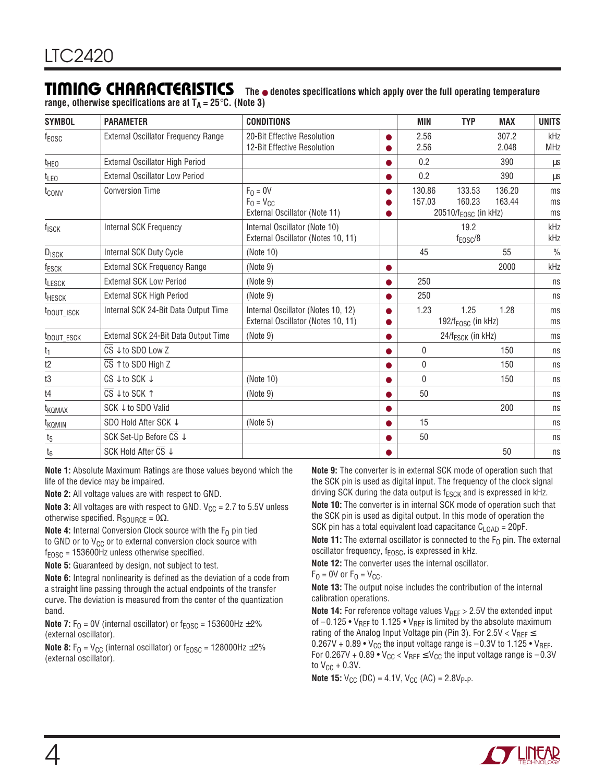### **TIMING CHARACTERISTICS**

**The** ● **denotes specifications which apply over the full operating temperature** range, otherwise specifications are at  $T_A = 25^\circ \text{C}$ . (Note 3)

| <b>SYMBOL</b>          | <b>PARAMETER</b>                                      | <b>CONDITIONS</b>                                                        | <b>MIN</b>       | <b>TYP</b>                                           | <b>MAX</b>       | <b>UNITS</b>      |
|------------------------|-------------------------------------------------------|--------------------------------------------------------------------------|------------------|------------------------------------------------------|------------------|-------------------|
| f <sub>EOSC</sub>      | External Oscillator Frequency Range                   | 20-Bit Effective Resolution<br>12-Bit Effective Resolution               | 2.56<br>2.56     |                                                      | 307.2<br>2.048   | kHz<br><b>MHz</b> |
| t <sub>HEO</sub>       | External Oscillator High Period                       |                                                                          | 0.2              |                                                      | 390              | μs                |
| $t_{LEO}$              | <b>External Oscillator Low Period</b>                 |                                                                          | 0.2              |                                                      | 390              | μs                |
| t <sub>conv</sub>      | <b>Conversion Time</b>                                | $F_0 = 0V$<br>$F_0 = V_{CC}$<br>External Oscillator (Note 11)            | 130.86<br>157.03 | 133.53<br>160.23<br>20510/f <sub>EOSC</sub> (in kHz) | 136.20<br>163.44 | ms<br>ms<br>ms    |
| f <sub>ISCK</sub>      | Internal SCK Frequency                                | Internal Oscillator (Note 10)<br>External Oscillator (Notes 10, 11)      |                  | 19.2<br>$f_{EOSC}/8$                                 |                  | kHz<br>kHz        |
| DISCK                  | <b>Internal SCK Duty Cycle</b>                        | (Note 10)                                                                | 45               |                                                      | 55               | $\frac{0}{0}$     |
| f <sub>ESCK</sub>      | External SCK Frequency Range                          | (Note 9)                                                                 |                  |                                                      | 2000             | kHz               |
| <b>TLESCK</b>          | <b>External SCK Low Period</b>                        | (Note 9)                                                                 | 250              |                                                      |                  | ns                |
| <sup>t</sup> HESCK     | External SCK High Period                              | (Note 9)                                                                 | 250              |                                                      |                  | ns                |
| t <sub>DOUT_ISCK</sub> | Internal SCK 24-Bit Data Output Time                  | Internal Oscillator (Notes 10, 12)<br>External Oscillator (Notes 10, 11) | 1.23             | 1.25<br>192/f <sub>EOSC</sub> (in kHz)               | 1.28             | ms<br>ms          |
| t <sub>DOUT_ESCK</sub> | External SCK 24-Bit Data Output Time                  | (Note 9)                                                                 |                  | 24/f <sub>ESCK</sub> (in kHz)                        |                  | ms                |
| $\frac{t_1}{1}$        | $\overline{\text{CS}}$ $\downarrow$ to SDO Low Z      |                                                                          | 0                |                                                      | 150              | ns                |
| t2                     | $\overline{\text{CS}}$ $\uparrow$ to SDO High Z       |                                                                          | 0                |                                                      | 150              | ns                |
| t3                     | $\overline{\text{CS}}\downarrow$ to SCK $\downarrow$  | (Note 10)                                                                | 0                |                                                      | 150              | ns                |
| t4                     | $\overline{\text{CS}}$ $\downarrow$ to SCK $\uparrow$ | (Note 9)                                                                 | 50               |                                                      |                  | ns                |
| t <sub>KQMAX</sub>     | SCK ↓ to SDO Valid                                    |                                                                          |                  |                                                      | 200              | ns                |
| t <sub>KQMIN</sub>     | SDO Hold After SCK J                                  | (Note 5)                                                                 | 15               |                                                      |                  | ns                |
| $t_5$                  | SCK Set-Up Before CS ↓                                |                                                                          | 50               |                                                      |                  | ns                |
| $t_6$                  | SCK Hold After $\overline{\text{CS}}$ $\downarrow$    |                                                                          |                  |                                                      | 50               | ns                |

**Note 1:** Absolute Maximum Ratings are those values beyond which the life of the device may be impaired.

**Note 2:** All voltage values are with respect to GND.

**Note 3:** All voltages are with respect to GND.  $V_{CC} = 2.7$  to 5.5V unless otherwise specified.  $R_{\text{SOLRCE}} = 0\Omega$ .

**Note 4:** Internal Conversion Clock source with the  $F_0$  pin tied to GND or to  $V_{CC}$  or to external conversion clock source with  $f_{EOSC}$  = 153600Hz unless otherwise specified.

**Note 5:** Guaranteed by design, not subject to test.

**Note 6:** Integral nonlinearity is defined as the deviation of a code from a straight line passing through the actual endpoints of the transfer curve. The deviation is measured from the center of the quantization band.

**Note 7:**  $F_0 = 0V$  (internal oscillator) or  $f_{EOSC} = 153600$ Hz  $\pm 2\%$ (external oscillator).

**Note 8:**  $F_0 = V_{CC}$  (internal oscillator) or  $f_{EOSC} = 128000$ Hz  $\pm 2\%$ (external oscillator).

**Note 9:** The converter is in external SCK mode of operation such that the SCK pin is used as digital input. The frequency of the clock signal driving SCK during the data output is  $f_{ESCK}$  and is expressed in kHz.

**Note 10:** The converter is in internal SCK mode of operation such that the SCK pin is used as digital output. In this mode of operation the SCK pin has a total equivalent load capacitance  $C_{\text{LOAD}} = 20pF$ .

**Note 11:** The external oscillator is connected to the  $F_0$  pin. The external oscillator frequency,  $f_{EOSC}$ , is expressed in kHz.

**Note 12:** The converter uses the internal oscillator.

 $F<sub>0</sub> = 0V$  or  $F<sub>0</sub> = V<sub>CC</sub>$ .

**Note 13:** The output noise includes the contribution of the internal calibration operations.

**Note 14:** For reference voltage values V<sub>REF</sub> > 2.5V the extended input of  $-0.125 \cdot V_{REF}$  to 1.125  $\cdot V_{REF}$  is limited by the absolute maximum rating of the Analog Input Voltage pin (Pin 3). For 2.5V <  $V_{REF} \leq$  $0.267V + 0.89 \cdot V_{CC}$  the input voltage range is  $-0.3V$  to 1.125  $\cdot$  V<sub>REF</sub>. For 0.267V + 0.89 •  $V_{CC}$  <  $V_{REF}$   $\leq$   $V_{CC}$  the input voltage range is  $-0.3V$ to  $V_{CC}$  + 0.3V.

**Note 15:**  $V_{CC}$  (DC) = 4.1V,  $V_{CC}$  (AC) = 2.8V<sub>P-P</sub>.

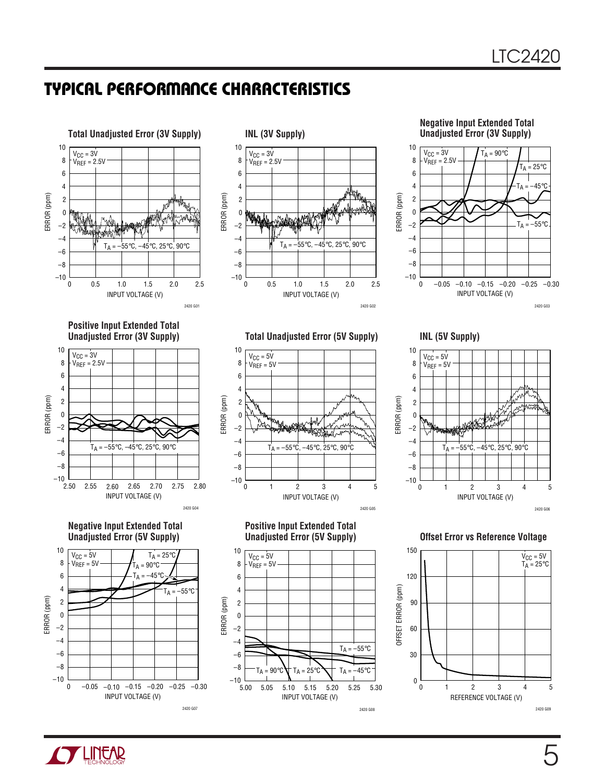



**Negative Input Extended Total Unadjusted Error (3V Supply)**



**Positive Input Extended Total Unadjusted Error (3V Supply)**



**Negative Input Extended Total Unadjusted Error (5V Supply)**



**Total Unadjusted Error (5V Supply) INL (5V Supply)**



**Positive Input Extended Total Unadjusted Error (5V Supply)**





**Offset Error vs Reference Voltage**



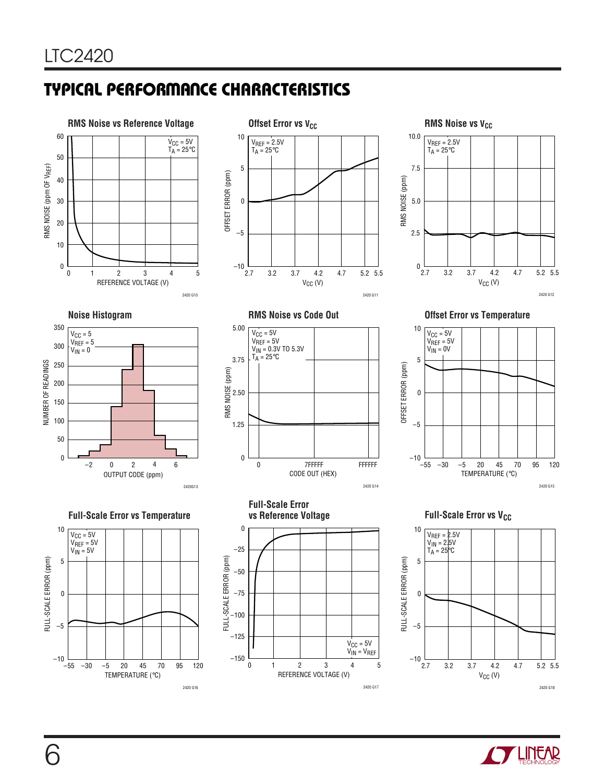











–5  $\theta$ 5  $V_{CC} = 5V$ V<sub>REF</sub> = 5V<br>V<sub>IN</sub> = 0V

TEMPERATURE (°C) 2420 G15

70 95 120









–30 –5 20 45

–55 –10

OFFSET ERROR (ppm)

OFFSET ERROR (ppm)

10



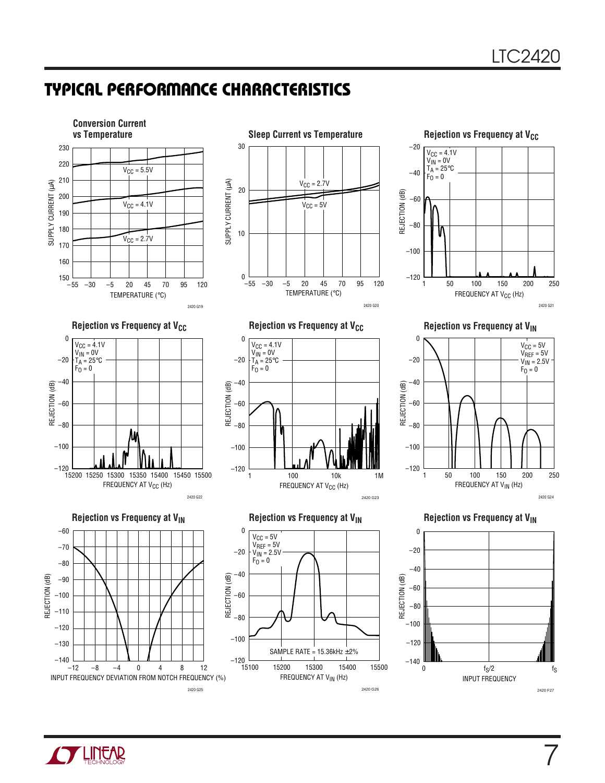

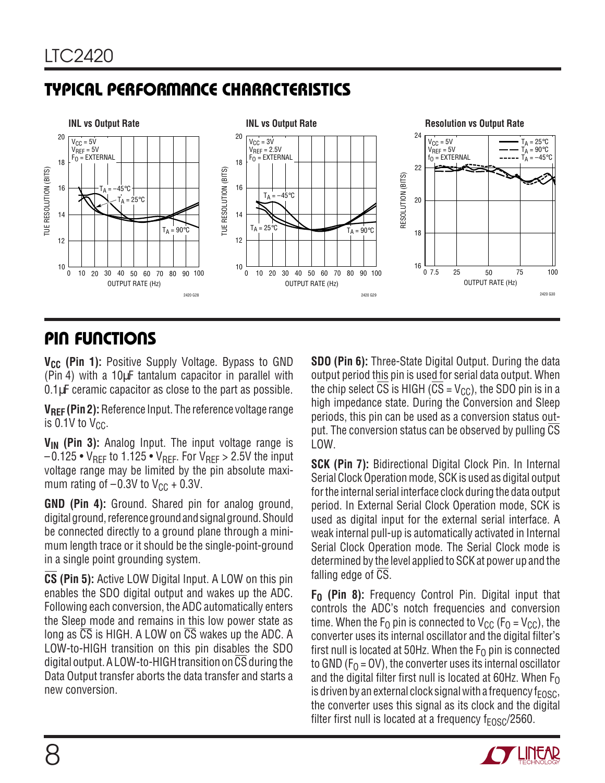

### **PIN FUNCTIONS**

**V<sub>CC</sub>** (Pin 1): Positive Supply Voltage. Bypass to GND (Pin 4) with a 10µF tantalum capacitor in parallel with 0.1µF ceramic capacitor as close to the part as possible.

**VREF (Pin 2):** Reference Input. The reference voltage range is  $0.1V$  to  $V_{CC}$ .

**V<sub>IN</sub>** (Pin 3): Analog Input. The input voltage range is  $-0.125 \cdot V_{REF}$  to 1.125  $\cdot V_{REF}$ . For  $V_{REF} > 2.5V$  the input voltage range may be limited by the pin absolute maximum rating of  $-0.3V$  to  $V_{CC}$  + 0.3V.

**GND (Pin 4):** Ground. Shared pin for analog ground, digital ground, reference ground and signal ground. Should be connected directly to a ground plane through a minimum length trace or it should be the single-point-ground in a single point grounding system.

**CS (Pin 5):** Active LOW Digital Input. A LOW on this pin enables the SDO digital output and wakes up the ADC. Following each conversion, the ADC automatically enters the Sleep mode and remains in this low power state as long as CS is HIGH. A LOW on CS wakes up the ADC. A LOW-to-HIGH transition on this pin disables the SDO digital output. A LOW-to-HIGH transition on CS during the Data Output transfer aborts the data transfer and starts a new conversion.

**SDO (Pin 6):** Three-State Digital Output. During the data output period this pin is used for serial data output. When the chip select  $\overline{CS}$  is HIGH ( $\overline{CS}$  = V<sub>CC</sub>), the SDO pin is in a high impedance state. During the Conversion and Sleep periods, this pin can be used as a conversion status output. The conversion status can be observed by pulling  $\overline{CS}$ LOW.

**SCK (Pin 7):** Bidirectional Digital Clock Pin. In Internal Serial Clock Operation mode, SCK is used as digital output for the internal serial interface clock during the data output period. In External Serial Clock Operation mode, SCK is used as digital input for the external serial interface. A weak internal pull-up is automatically activated in Internal Serial Clock Operation mode. The Serial Clock mode is determined by the level applied to SCK at power up and the falling edge of CS.

**F<sub>0</sub>** (Pin 8): Frequency Control Pin. Digital input that controls the ADC's notch frequencies and conversion time. When the  $F_0$  pin is connected to  $V_{CC}$  ( $F_0 = V_{CC}$ ), the converter uses its internal oscillator and the digital filter's first null is located at 50Hz. When the  $F<sub>0</sub>$  pin is connected to GND ( $F<sub>0</sub> = OV$ ), the converter uses its internal oscillator and the digital filter first null is located at 60Hz. When  $F_0$ is driven by an external clock signal with a frequency  $f_{FOSC}$ , the converter uses this signal as its clock and the digital filter first null is located at a frequency  $f_{FOSC}/2560$ .

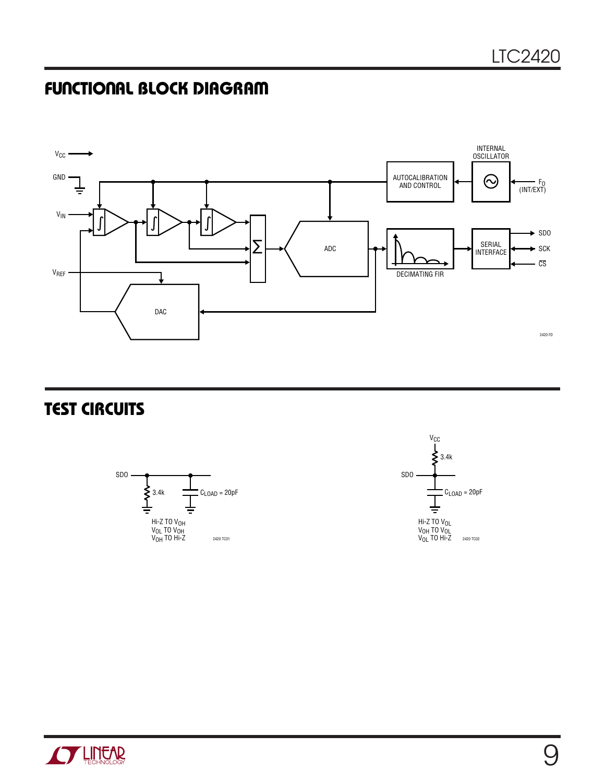### **FUNCTIONAL BLOCK DIAGRAM**



### **TEST CIRCUITS**





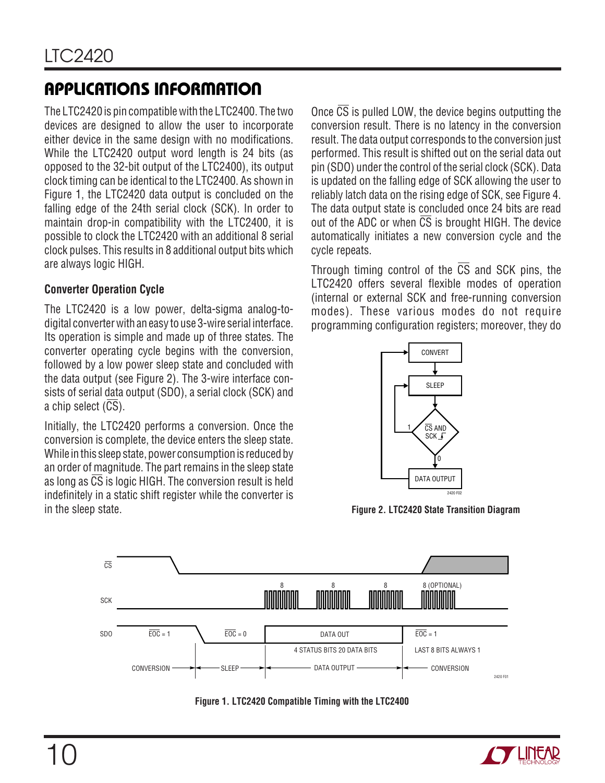The LTC2420 is pin compatible with the LTC2400. The two devices are designed to allow the user to incorporate either device in the same design with no modifications. While the LTC2420 output word length is 24 bits (as opposed to the 32-bit output of the LTC2400), its output clock timing can be identical to the LTC2400. As shown in Figure 1, the LTC2420 data output is concluded on the falling edge of the 24th serial clock (SCK). In order to maintain drop-in compatibility with the LTC2400, it is possible to clock the LTC2420 with an additional 8 serial clock pulses. This results in 8 additional output bits which are always logic HIGH.

#### **Converter Operation Cycle**

The LTC2420 is a low power, delta-sigma analog-todigital converter with an easy to use 3-wire serial interface. Its operation is simple and made up of three states. The converter operating cycle begins with the conversion, followed by a low power sleep state and concluded with the data output (see Figure 2). The 3-wire interface consists of serial data output (SDO), a serial clock (SCK) and a chip select (CS).

Initially, the LTC2420 performs a conversion. Once the conversion is complete, the device enters the sleep state. While in this sleep state, power consumption is reduced by an order of magnitude. The part remains in the sleep state as long as CS is logic HIGH. The conversion result is held indefinitely in a static shift register while the converter is in the sleep state.

Once  $\overline{CS}$  is pulled LOW, the device begins outputting the conversion result. There is no latency in the conversion result. The data output corresponds to the conversion just performed. This result is shifted out on the serial data out pin (SDO) under the control of the serial clock (SCK). Data is updated on the falling edge of SCK allowing the user to reliably latch data on the rising edge of SCK, see Figure 4. The data output state is concluded once 24 bits are read out of the ADC or when  $\overline{CS}$  is brought HIGH. The device automatically initiates a new conversion cycle and the cycle repeats.

Through timing control of the CS and SCK pins, the LTC2420 offers several flexible modes of operation (internal or external SCK and free-running conversion modes). These various modes do not require programming configuration registers; moreover, they do



**Figure 2. LTC2420 State Transition Diagram**



**Figure 1. LTC2420 Compatible Timing with the LTC2400**

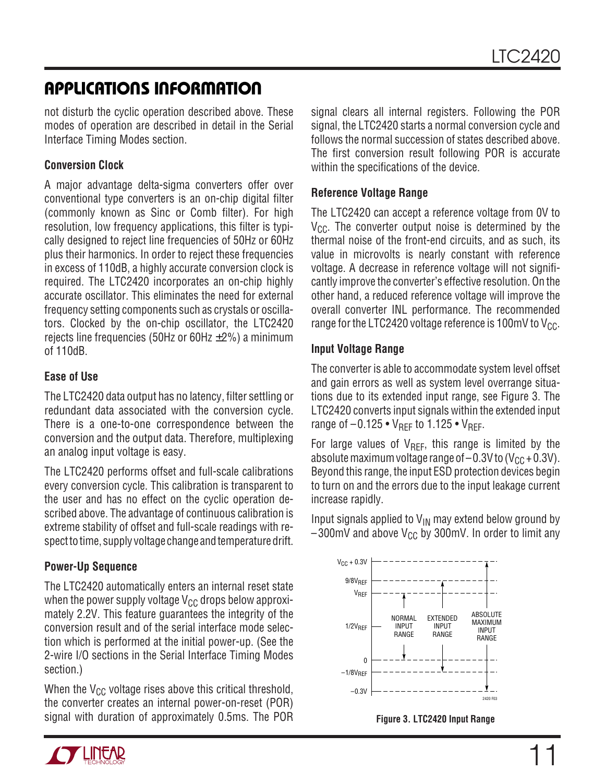not disturb the cyclic operation described above. These modes of operation are described in detail in the Serial Interface Timing Modes section.

#### **Conversion Clock**

A major advantage delta-sigma converters offer over conventional type converters is an on-chip digital filter (commonly known as Sinc or Comb filter). For high resolution, low frequency applications, this filter is typically designed to reject line frequencies of 50Hz or 60Hz plus their harmonics. In order to reject these frequencies in excess of 110dB, a highly accurate conversion clock is required. The LTC2420 incorporates an on-chip highly accurate oscillator. This eliminates the need for external frequency setting components such as crystals or oscillators. Clocked by the on-chip oscillator, the LTC2420 rejects line frequencies (50Hz or 60Hz  $\pm$ 2%) a minimum of 110dB.

#### **Ease of Use**

The LTC2420 data output has no latency, filter settling or redundant data associated with the conversion cycle. There is a one-to-one correspondence between the conversion and the output data. Therefore, multiplexing an analog input voltage is easy.

The LTC2420 performs offset and full-scale calibrations every conversion cycle. This calibration is transparent to the user and has no effect on the cyclic operation described above. The advantage of continuous calibration is extreme stability of offset and full-scale readings with respect to time, supply voltage change and temperature drift.

#### **Power-Up Sequence**

The LTC2420 automatically enters an internal reset state when the power supply voltage  $V_{CC}$  drops below approximately 2.2V. This feature guarantees the integrity of the conversion result and of the serial interface mode selection which is performed at the initial power-up. (See the 2-wire I/O sections in the Serial Interface Timing Modes section.)

When the  $V_{CC}$  voltage rises above this critical threshold, the converter creates an internal power-on-reset (POR) signal with duration of approximately 0.5ms. The POR signal clears all internal registers. Following the POR signal, the LTC2420 starts a normal conversion cycle and follows the normal succession of states described above. The first conversion result following POR is accurate within the specifications of the device.

#### **Reference Voltage Range**

The LTC2420 can accept a reference voltage from 0V to  $V_{CC}$ . The converter output noise is determined by the thermal noise of the front-end circuits, and as such, its value in microvolts is nearly constant with reference voltage. A decrease in reference voltage will not significantly improve the converter's effective resolution. On the other hand, a reduced reference voltage will improve the overall converter INL performance. The recommended range for the LTC2420 voltage reference is 100mV to  $V_{CC}$ .

#### **Input Voltage Range**

The converter is able to accommodate system level offset and gain errors as well as system level overrange situations due to its extended input range, see Figure 3. The LTC2420 converts input signals within the extended input range of  $-0.125 \cdot V_{\text{RFF}}$  to 1.125  $\cdot V_{\text{RFF}}$ .

For large values of  $V_{REF}$ , this range is limited by the absolute maximum voltage range of  $-0.3V$  to  $(V_{CC} + 0.3V)$ . Beyond this range, the input ESD protection devices begin to turn on and the errors due to the input leakage current increase rapidly.

Input signals applied to  $V_{IN}$  may extend below ground by  $-300$ mV and above V<sub>CC</sub> by 300mV. In order to limit any



**Figure 3. LTC2420 Input Range**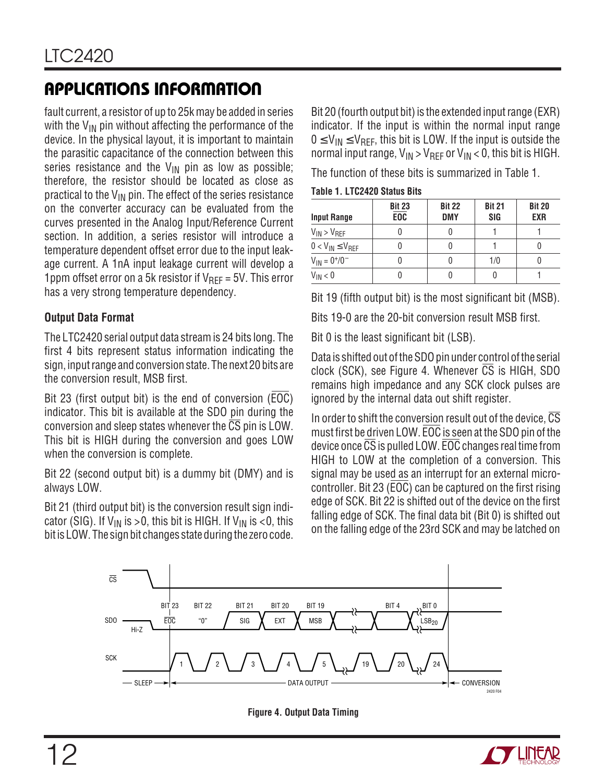fault current, a resistor of up to 25k may be added in series with the  $V_{IN}$  pin without affecting the performance of the device. In the physical layout, it is important to maintain the parasitic capacitance of the connection between this series resistance and the  $V_{IN}$  pin as low as possible; therefore, the resistor should be located as close as practical to the  $V_{IN}$  pin. The effect of the series resistance on the converter accuracy can be evaluated from the curves presented in the Analog Input/Reference Current section. In addition, a series resistor will introduce a temperature dependent offset error due to the input leakage current. A 1nA input leakage current will develop a 1ppm offset error on a 5k resistor if  $V_{\text{RFF}} = 5V$ . This error has a very strong temperature dependency.

#### **Output Data Format**

The LTC2420 serial output data stream is 24 bits long. The first 4 bits represent status information indicating the sign, input range and conversion state. The next 20 bits are the conversion result, MSB first.

Bit 23 (first output bit) is the end of conversion (EOC) indicator. This bit is available at the SDO pin during the conversion and sleep states whenever the  $\overline{\text{CS}}$  pin is LOW. This bit is HIGH during the conversion and goes LOW when the conversion is complete.

Bit 22 (second output bit) is a dummy bit (DMY) and is always LOW.

Bit 21 (third output bit) is the conversion result sign indicator (SIG). If  $V_{IN}$  is >0, this bit is HIGH. If  $V_{IN}$  is <0, this bit is LOW. The sign bit changes state during the zero code. Bit 20 (fourth output bit) is the extended input range (EXR) indicator. If the input is within the normal input range  $0 \leq V_{IN} \leq V_{RFF}$ , this bit is LOW. If the input is outside the normal input range,  $V_{IN} > V_{REF}$  or  $V_{IN} < 0$ , this bit is HIGH.

The function of these bits is summarized in Table 1.

| <b>Table 1. LTC2420 Status Bits</b> |  |
|-------------------------------------|--|
|-------------------------------------|--|

| <b>Input Range</b>        | <b>Bit 23</b><br><b>EOC</b> | <b>Bit 22</b><br><b>DMY</b> | <b>Bit 21</b><br>SIG | <b>Bit 20</b><br><b>EXR</b> |
|---------------------------|-----------------------------|-----------------------------|----------------------|-----------------------------|
| $V_{IN}$ > $V_{REF}$      |                             |                             |                      |                             |
| $0 < V_{IN} \leq V_{REF}$ |                             |                             |                      |                             |
| $V_{IN} = 0^{+/0}$        |                             |                             | 1/0                  |                             |
| $V_{IN}$ < 0              |                             |                             |                      |                             |

Bit 19 (fifth output bit) is the most significant bit (MSB).

Bits 19-0 are the 20-bit conversion result MSB first.

Bit 0 is the least significant bit (LSB).

Data is shifted out of the SDO pin under control of the serial clock (SCK), see Figure 4. Whenever CS is HIGH, SDO remains high impedance and any SCK clock pulses are ignored by the internal data out shift register.

In order to shift the conversion result out of the device,  $\overline{\text{CS}}$ must first be driven LOW. EOC is seen at the SDO pin of the device once CS is pulled LOW. EOC changes real time from HIGH to LOW at the completion of a conversion. This signal may be used as an interrupt for an external microcontroller. Bit 23 (EOC) can be captured on the first rising edge of SCK. Bit 22 is shifted out of the device on the first falling edge of SCK. The final data bit (Bit 0) is shifted out on the falling edge of the 23rd SCK and may be latched on



**Figure 4. Output Data Timing**

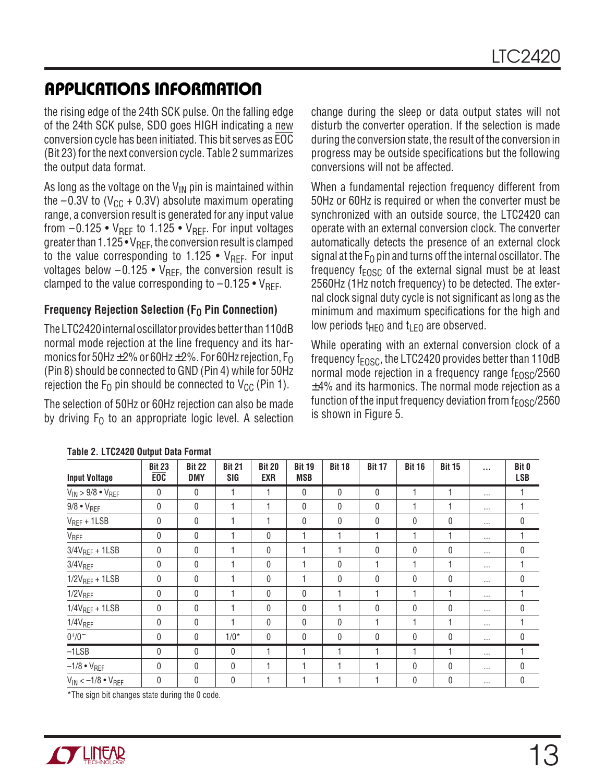the rising edge of the 24th SCK pulse. On the falling edge of the 24th SCK pulse, SDO goes HIGH indicating a new conversion cycle has been initiated. This bit serves as EOC (Bit 23) for the next conversion cycle. Table 2 summarizes the output data format.

As long as the voltage on the  $V_{\text{IN}}$  pin is maintained within the  $-0.3V$  to (V<sub>CC</sub> + 0.3V) absolute maximum operating range, a conversion result is generated for any input value from  $-0.125 \cdot V_{RFF}$  to 1.125  $\cdot$  V<sub>RFF</sub>. For input voltages greater than  $1.125 \cdot V_{REF}$ , the conversion result is clamped to the value corresponding to 1.125 •  $V_{\text{RFF}}$ . For input voltages below  $-0.125 \cdot V_{REF}$ , the conversion result is clamped to the value corresponding to  $-0.125 \cdot V_{REF}$ .

#### **Frequency Rejection Selection (F<sub>0</sub> Pin Connection)**

The LTC2420 internal oscillator provides better than 110dB normal mode rejection at the line frequency and its harmonics for 50Hz $\pm$ 2% or 60Hz $\pm$ 2%. For 60Hz rejection, F<sub>O</sub> (Pin 8) should be connected to GND (Pin 4) while for 50Hz rejection the  $F_0$  pin should be connected to  $V_{CC}$  (Pin 1).

The selection of 50Hz or 60Hz rejection can also be made by driving  $F_0$  to an appropriate logic level. A selection change during the sleep or data output states will not disturb the converter operation. If the selection is made during the conversion state, the result of the conversion in progress may be outside specifications but the following conversions will not be affected.

When a fundamental rejection frequency different from 50Hz or 60Hz is required or when the converter must be synchronized with an outside source, the LTC2420 can operate with an external conversion clock. The converter automatically detects the presence of an external clock signal at the  $F_{\Omega}$  pin and turns off the internal oscillator. The frequency  $f_{FOSC}$  of the external signal must be at least 2560Hz (1Hz notch frequency) to be detected. The external clock signal duty cycle is not significant as long as the minimum and maximum specifications for the high and low periods  $t_{\text{HEO}}$  and  $t_{\text{LEO}}$  are observed.

While operating with an external conversion clock of a frequency  $f_{FOSC}$ , the LTC2420 provides better than 110dB normal mode rejection in a frequency range  $f_{EOSC}/2560$  $±4%$  and its harmonics. The normal mode rejection as a function of the input frequency deviation from  $f_{FOSC}/2560$ is shown in Figure 5.

|                                    | Table 2. LTUZTZU UULPUL DALA TUTTILAL |                             |                      |                             |                             |               |               |               |                  |          |                            |
|------------------------------------|---------------------------------------|-----------------------------|----------------------|-----------------------------|-----------------------------|---------------|---------------|---------------|------------------|----------|----------------------------|
| <b>Input Voltage</b>               | <b>Bit 23</b><br><b>EOC</b>           | <b>Bit 22</b><br><b>DMY</b> | <b>Bit 21</b><br>SIG | <b>Bit 20</b><br><b>EXR</b> | <b>Bit 19</b><br><b>MSB</b> | <b>Bit 18</b> | <b>Bit 17</b> | <b>Bit 16</b> | <b>Bit 15</b>    | $\cdots$ | <b>Bit 0</b><br><b>LSB</b> |
| $V_{IN}$ > 9/8 $\bullet$ $V_{REF}$ | $\mathbf{0}$                          | $\mathbf{0}$                |                      |                             | $\mathbf{0}$                | $\mathbf{0}$  | 0             |               | 1                | $\cdots$ |                            |
| $9/8 \cdot V_{REF}$                | $\mathbf{0}$                          | $\mathbf{0}$                |                      | 4                           | 0                           | $\mathbf{0}$  | 0             |               | 1                | $\cdots$ |                            |
| $V_{REF} + 1LSB$                   | 0                                     | 0                           |                      |                             | $\mathbf 0$                 | 0             | 0             | 0             | $\boldsymbol{0}$ | $\cdots$ | 0                          |
| V <sub>REF</sub>                   | 0                                     | 0                           |                      | 0                           | 1                           |               |               |               | 1                | $\cdots$ |                            |
| $3/4V_{REF} + 1LSB$                | $\mathbf 0$                           | 0                           |                      | 0                           | 1                           |               | 0             | $\mathbf{0}$  | 0                | $\cdots$ | 0                          |
| $3/4V_{REF}$                       | 0                                     | 0                           |                      | 0                           |                             | 0             |               |               | 1                | $\cdots$ |                            |
| $1/2V_{REF} + 1LSB$                | $\mathbf 0$                           | 0                           |                      | 0                           | 1                           | $\mathbf{0}$  | 0             | $\mathbf{0}$  | $\mathbf{0}$     | $\cdots$ | 0                          |
| $1/2V_{REF}$                       | 0                                     | 0                           |                      | 0                           | $\mathbf{0}$                |               |               |               | 1                | $\cdots$ |                            |
| $1/4V_{REF} + 1LSB$                | $\mathbf 0$                           | 0                           |                      | 0                           | 0                           |               | 0             | 0             | 0                | $\cdots$ | 0                          |
| $1/4V_{REF}$                       | $\mathbf{0}$                          | $\mathbf{0}$                |                      | 0                           | 0                           | $\mathbf{0}$  |               | 1             | 1                | $\cdots$ |                            |
| $0^{+}/0^{-}$                      | $\mathbf 0$                           | 0                           | $1/0*$               | 0                           | $\mathbf{0}$                | $\mathbf{0}$  | 0             | $\mathbf{0}$  | $\mathbf{0}$     | $\cdots$ | $\mathbf{0}$               |
| $-ILSB$                            | $\mathbf 0$                           | $\mathbf{0}$                | 0                    |                             | 1                           |               |               |               | 1                | $\cdots$ |                            |
| $-1/8 \cdot V_{REF}$               | $\mathbf{0}$                          | 0                           | 0                    | 4                           | 1                           |               | н             | $\mathbf{0}$  | $\mathbf{0}$     | $\cdots$ | 0                          |
| $V_{IN}$ < $-1/8$ • $V_{REF}$      | 0                                     | $\mathbf{0}$                | 0                    |                             | 1                           |               |               | $\mathbf{0}$  | $\mathbf{0}$     | $\cdots$ | $\mathbf 0$                |

#### **Table 2. LTC2420 Output Data Format**

\*The sign bit changes state during the 0 code.

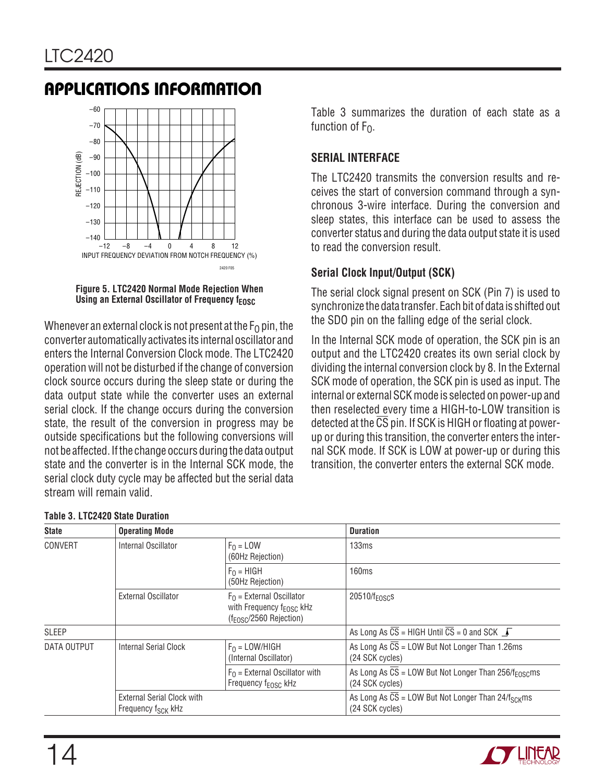

**Figure 5. LTC2420 Normal Mode Rejection When Using an External Oscillator of Frequency frosc.** 

Whenever an external clock is not present at the  $F_{\Omega}$  pin, the converter automatically activates its internal oscillator and enters the Internal Conversion Clock mode. The LTC2420 operation will not be disturbed if the change of conversion clock source occurs during the sleep state or during the data output state while the converter uses an external serial clock. If the change occurs during the conversion state, the result of the conversion in progress may be outside specifications but the following conversions will not be affected. If the change occurs during the data output state and the converter is in the Internal SCK mode, the serial clock duty cycle may be affected but the serial data stream will remain valid.

Table 3 summarizes the duration of each state as a function of  $F_{\Omega}$ .

#### **SERIAL INTERFACE**

The LTC2420 transmits the conversion results and receives the start of conversion command through a synchronous 3-wire interface. During the conversion and sleep states, this interface can be used to assess the converter status and during the data output state it is used to read the conversion result.

#### **Serial Clock Input/Output (SCK)**

The serial clock signal present on SCK (Pin 7) is used to synchronize the data transfer. Each bit of data is shifted out the SDO pin on the falling edge of the serial clock.

In the Internal SCK mode of operation, the SCK pin is an output and the LTC2420 creates its own serial clock by dividing the internal conversion clock by 8. In the External SCK mode of operation, the SCK pin is used as input. The internal or external SCK mode is selected on power-up and then reselected every time a HIGH-to-LOW transition is detected at the  $\overline{\text{CS}}$  pin. If SCK is HIGH or floating at powerup or during this transition, the converter enters the internal SCK mode. If SCK is LOW at power-up or during this transition, the converter enters the external SCK mode.

| <b>State</b> | <b>Operating Mode</b>                                        |                                                                                                           | <b>Duration</b>                                                                                  |
|--------------|--------------------------------------------------------------|-----------------------------------------------------------------------------------------------------------|--------------------------------------------------------------------------------------------------|
| CONVERT      | Internal Oscillator                                          | $F_0 = LOW$<br>(60Hz Rejection)                                                                           | 133ms                                                                                            |
|              |                                                              | $F_0 = HIGH$<br>(50Hz Rejection)                                                                          | 160ms                                                                                            |
|              | External Oscillator                                          | $F_{\Omega}$ = External Oscillator<br>with Frequency $f_{\text{FOSC}}$ kHz<br>$(f_{FOSC}/2560$ Rejection) | $20510/f_{FOSC}$                                                                                 |
| <b>SLEEP</b> |                                                              |                                                                                                           | As Long As $\overline{CS}$ = HIGH Until $\overline{CS}$ = 0 and SCK $\overline{J}$               |
| DATA OUTPUT  | <b>Internal Serial Clock</b>                                 | $F_0 =$ LOW/HIGH<br>(Internal Oscillator)                                                                 | As Long As CS = LOW But Not Longer Than 1.26ms<br>(24 SCK cycles)                                |
|              |                                                              | $F0$ = External Oscillator with<br>Frequency f <sub>EOSC</sub> kHz                                        | As Long As $\overline{CS}$ = LOW But Not Longer Than 256/f <sub>E0SC</sub> ms<br>(24 SCK cycles) |
|              | External Serial Clock with<br>Frequency f <sub>SCK</sub> kHz |                                                                                                           | As Long As $CS =$ LOW But Not Longer Than 24/f <sub>SCK</sub> ms<br>(24 SCK cycles)              |

#### **Table 3. LTC2420 State Duration**

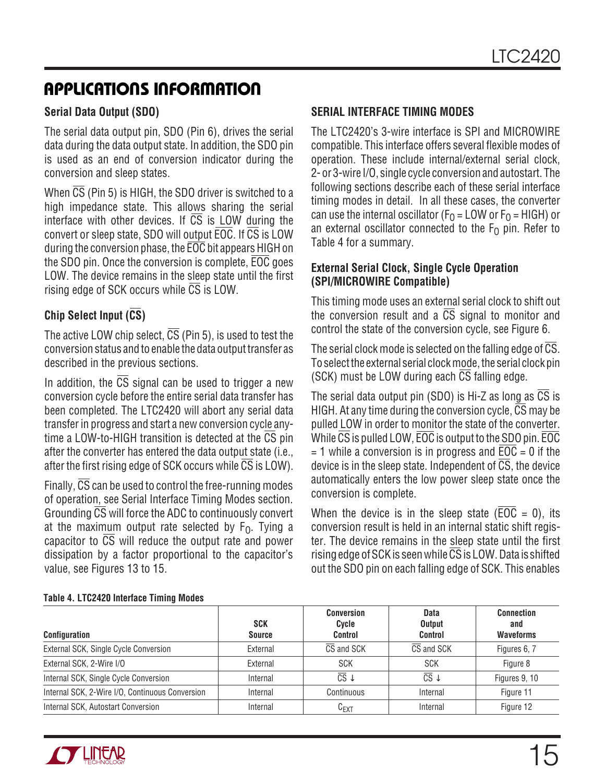#### **Serial Data Output (SDO)**

The serial data output pin, SDO (Pin 6), drives the serial data during the data output state. In addition, the SDO pin is used as an end of conversion indicator during the conversion and sleep states.

When  $\overline{CS}$  (Pin 5) is HIGH, the SDO driver is switched to a high impedance state. This allows sharing the serial interface with other devices. If  $\overline{CS}$  is LOW during the convert or sleep state, SDO will output EOC. If CS is LOW during the conversion phase, the EOC bit appears HIGH on the SDO pin. Once the conversion is complete, EOC goes LOW. The device remains in the sleep state until the first rising edge of SCK occurs while  $\overline{CS}$  is LOW.

#### **Chip Select Input (CS)**

The active LOW chip select,  $\overline{CS}$  (Pin 5), is used to test the conversion status and to enable the data output transfer as described in the previous sections.

In addition, the  $\overline{CS}$  signal can be used to trigger a new conversion cycle before the entire serial data transfer has been completed. The LTC2420 will abort any serial data transfer in progress and start a new conversion cycle anytime a LOW-to-HIGH transition is detected at the CS pin after the converter has entered the data output state (i.e., after the first rising edge of SCK occurs while CS is LOW).

Finally,  $\overline{CS}$  can be used to control the free-running modes of operation, see Serial Interface Timing Modes section. Grounding CS will force the ADC to continuously convert at the maximum output rate selected by  $F_0$ . Tying a capacitor to  $\overline{CS}$  will reduce the output rate and power dissipation by a factor proportional to the capacitor's value, see Figures 13 to 15.

#### **SERIAL INTERFACE TIMING MODES**

The LTC2420's 3-wire interface is SPI and MICROWIRE compatible. This interface offers several flexible modes of operation. These include internal/external serial clock, 2- or 3-wire I/O, single cycle conversion and autostart. The following sections describe each of these serial interface timing modes in detail. In all these cases, the converter can use the internal oscillator ( $F<sub>0</sub>$  = LOW or  $F<sub>0</sub>$  = HIGH) or an external oscillator connected to the  $F<sub>0</sub>$  pin. Refer to Table 4 for a summary.

#### **External Serial Clock, Single Cycle Operation (SPI/MICROWIRE Compatible)**

This timing mode uses an external serial clock to shift out the conversion result and a CS signal to monitor and control the state of the conversion cycle, see Figure 6.

The serial clock mode is selected on the falling edge of  $\overline{\text{CS}}$ . To select the external serial clock mode, the serial clock pin (SCK) must be LOW during each CS falling edge.

The serial data output pin (SDO) is Hi-Z as long as  $\overline{CS}$  is HIGH. At any time during the conversion cycle,  $\overline{CS}$  may be pulled LOW in order to monitor the state of the converter. While CS is pulled LOW, EOC is output to the SDO pin. EOC  $= 1$  while a conversion is in progress and  $\overline{EOC} = 0$  if the device is in the sleep state. Independent of  $\overline{CS}$ , the device automatically enters the low power sleep state once the conversion is complete.

When the device is in the sleep state ( $\overline{EOC} = 0$ ), its conversion result is held in an internal static shift register. The device remains in the sleep state until the first rising edge of SCK is seen while  $\overline{CS}$  is LOW. Data is shifted out the SDO pin on each falling edge of SCK. This enables

| <b>Configuration</b>                            | <b>SCK</b><br><b>Source</b> | <b>Conversion</b><br>Cycle<br><b>Control</b> | <b>Data</b><br>Output<br><b>Control</b> | <b>Connection</b><br>and<br><b>Waveforms</b> |
|-------------------------------------------------|-----------------------------|----------------------------------------------|-----------------------------------------|----------------------------------------------|
| External SCK, Single Cycle Conversion           | External                    | CS and SCK                                   | CS and SCK                              | Figures 6, 7                                 |
| External SCK, 2-Wire I/O                        | External                    | <b>SCK</b>                                   | <b>SCK</b>                              | Figure 8                                     |
| Internal SCK, Single Cycle Conversion           | Internal                    | $\overline{\text{CS}}\downarrow$             | $\overline{\text{CS}}\downarrow$        | Figures 9, 10                                |
| Internal SCK, 2-Wire I/O, Continuous Conversion | Internal                    | Continuous                                   | Internal                                | Figure 11                                    |
| Internal SCK, Autostart Conversion              | Internal                    | $C_{EXT}$                                    | Internal                                | Figure 12                                    |

#### **Table 4. LTC2420 Interface Timing Modes**

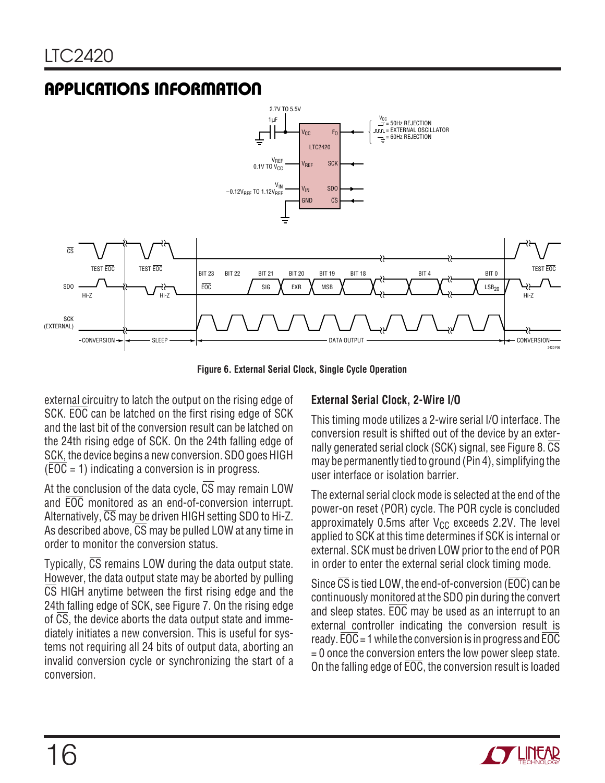

**Figure 6. External Serial Clock, Single Cycle Operation**

external circuitry to latch the output on the rising edge of SCK. EOC can be latched on the first rising edge of SCK and the last bit of the conversion result can be latched on the 24th rising edge of SCK. On the 24th falling edge of SCK, the device begins a new conversion. SDO goes HIGH  $(\overline{EOC} = 1)$  indicating a conversion is in progress.

At the conclusion of the data cycle,  $\overline{CS}$  may remain LOW and EOC monitored as an end-of-conversion interrupt. Alternatively,  $\overline{CS}$  may be driven HIGH setting SDO to Hi-Z. As described above,  $\overline{CS}$  may be pulled LOW at any time in order to monitor the conversion status.

Typically,  $\overline{CS}$  remains LOW during the data output state. However, the data output state may be aborted by pulling CS HIGH anytime between the first rising edge and the 24th falling edge of SCK, see Figure 7. On the rising edge of CS, the device aborts the data output state and immediately initiates a new conversion. This is useful for systems not requiring all 24 bits of output data, aborting an invalid conversion cycle or synchronizing the start of a conversion.

#### **External Serial Clock, 2-Wire I/O**

This timing mode utilizes a 2-wire serial I/O interface. The conversion result is shifted out of the device by an externally generated serial clock (SCK) signal, see Figure 8.  $\overline{CS}$ may be permanently tied to ground (Pin 4), simplifying the user interface or isolation barrier.

The external serial clock mode is selected at the end of the power-on reset (POR) cycle. The POR cycle is concluded approximately  $0.5$ ms after V<sub>CC</sub> exceeds 2.2V. The level applied to SCK at this time determines if SCK is internal or external. SCK must be driven LOW prior to the end of POR in order to enter the external serial clock timing mode.

Since  $\overline{CS}$  is tied LOW, the end-of-conversion ( $\overline{EOC}$ ) can be continuously monitored at the SDO pin during the convert and sleep states. EOC may be used as an interrupt to an external controller indicating the conversion result is ready. EOC = 1 while the conversion is in progress and EOC  $= 0$  once the conversion enters the low power sleep state. On the falling edge of EOC, the conversion result is loaded

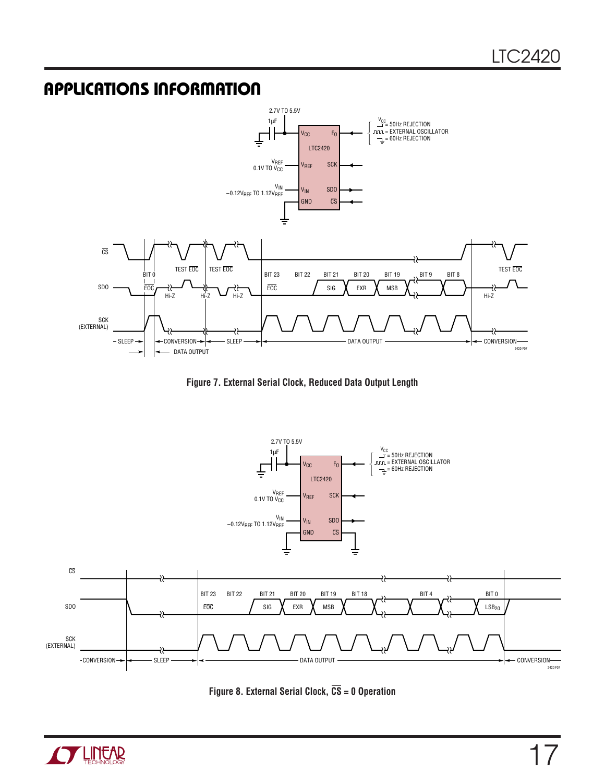

**Figure 7. External Serial Clock, Reduced Data Output Length**





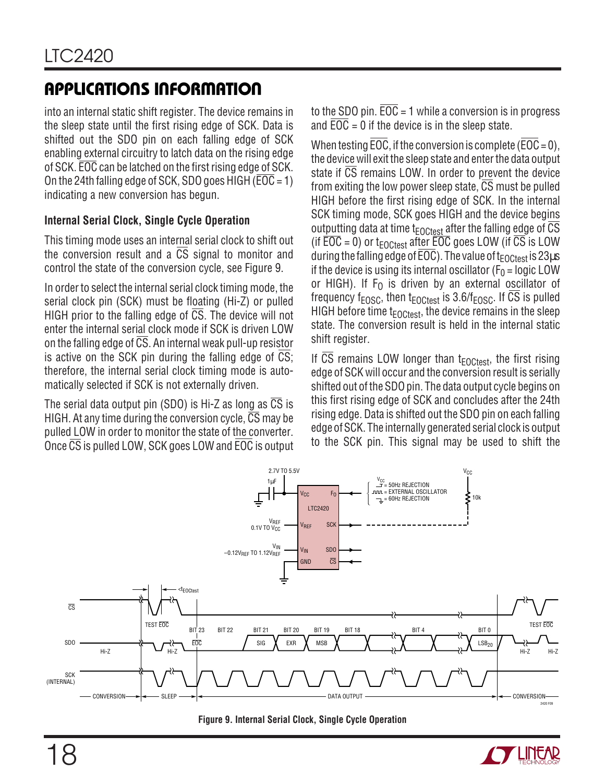into an internal static shift register. The device remains in the sleep state until the first rising edge of SCK. Data is shifted out the SDO pin on each falling edge of SCK enabling external circuitry to latch data on the rising edge of SCK. EOC can be latched on the first rising edge of SCK. On the 24th falling edge of SCK, SDO goes HIGH ( $\overline{EOC} = 1$ ) indicating a new conversion has begun.

#### **Internal Serial Clock, Single Cycle Operation**

This timing mode uses an internal serial clock to shift out the conversion result and a CS signal to monitor and control the state of the conversion cycle, see Figure 9.

In order to select the internal serial clock timing mode, the serial clock pin (SCK) must be floating (Hi-Z) or pulled HIGH prior to the falling edge of CS. The device will not enter the internal serial clock mode if SCK is driven LOW on the falling edge of  $\overline{CS}$ . An internal weak pull-up resistor is active on the SCK pin during the falling edge of CS; therefore, the internal serial clock timing mode is automatically selected if SCK is not externally driven.

The serial data output pin (SDO) is Hi-Z as long as CS is HIGH. At any time during the conversion cycle,  $\overline{CS}$  may be pulled LOW in order to monitor the state of the converter. Once CS is pulled LOW, SCK goes LOW and EOC is output to the SDO pin.  $\overline{EOC} = 1$  while a conversion is in progress and  $EOC = 0$  if the device is in the sleep state.

When testing EOC, if the conversion is complete (EOC =  $0$ ), the device will exit the sleep state and enter the data output state if CS remains LOW. In order to prevent the device from exiting the low power sleep state, CS must be pulled HIGH before the first rising edge of SCK. In the internal SCK timing mode, SCK goes HIGH and the device begins outputting data at time  $t_{\text{FOCtest}}$  after the falling edge of  $\overline{\text{CS}}$ (if  $\overline{EOC} = 0$ ) or t<sub>EOCtest</sub> after EOC goes LOW (if  $\overline{CS}$  is LOW during the falling edge of EOC). The value of  $t_{\text{FOCtest}}$  is 23 $\mu$ s if the device is using its internal oscillator ( $F_0$  = logic LOW or HIGH). If  $F_0$  is driven by an external oscillator of frequency  $f_{EOSC}$ , then  $t_{EOCtest}$  is 3.6/ $f_{EOSC}$ . If  $\overline{CS}$  is pulled HIGH before time  $t_{\text{FOCtest}}$ , the device remains in the sleep state. The conversion result is held in the internal static shift register.

If CS remains LOW longer than  $t_{\text{FOCtest}}$ , the first rising edge of SCK will occur and the conversion result is serially shifted out of the SDO pin. The data output cycle begins on this first rising edge of SCK and concludes after the 24th rising edge. Data is shifted out the SDO pin on each falling edge of SCK. The internally generated serial clock is output to the SCK pin. This signal may be used to shift the



**Figure 9. Internal Serial Clock, Single Cycle Operation**

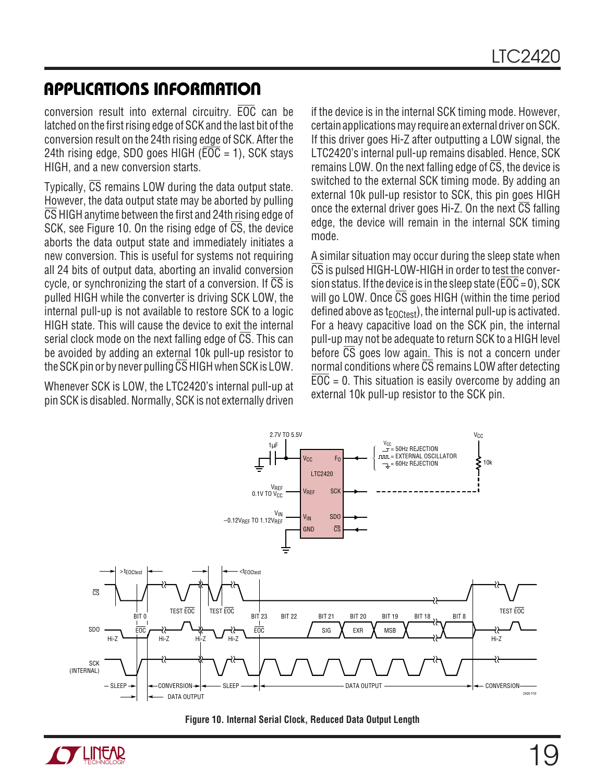conversion result into external circuitry. EOC can be latched on the first rising edge of SCK and the last bit of the conversion result on the 24th rising edge of SCK. After the 24th rising edge, SDO goes HIGH ( $\overline{EOC}$  = 1), SCK stays HIGH, and a new conversion starts.

Typically, CS remains LOW during the data output state. However, the data output state may be aborted by pulling CS HIGH anytime between the first and 24th rising edge of SCK, see Figure 10. On the rising edge of CS, the device aborts the data output state and immediately initiates a new conversion. This is useful for systems not requiring all 24 bits of output data, aborting an invalid conversion cycle, or synchronizing the start of a conversion. If  $\overline{CS}$  is pulled HIGH while the converter is driving SCK LOW, the internal pull-up is not available to restore SCK to a logic HIGH state. This will cause the device to exit the internal serial clock mode on the next falling edge of  $\overline{CS}$ . This can be avoided by adding an external 10k pull-up resistor to the SCK pin or by never pulling  $\overline{\text{CS}}$  HIGH when SCK is LOW.

Whenever SCK is LOW, the LTC2420's internal pull-up at pin SCK is disabled. Normally, SCK is not externally driven if the device is in the internal SCK timing mode. However, certain applications may require an external driver on SCK. If this driver goes Hi-Z after outputting a LOW signal, the LTC2420's internal pull-up remains disabled. Hence, SCK remains LOW. On the next falling edge of  $\overline{CS}$ , the device is switched to the external SCK timing mode. By adding an external 10k pull-up resistor to SCK, this pin goes HIGH once the external driver goes Hi-Z. On the next  $\overline{CS}$  falling edge, the device will remain in the internal SCK timing mode.

A similar situation may occur during the sleep state when CS is pulsed HIGH-LOW-HIGH in order to test the conversion status. If the device is in the sleep state ( $\overline{EOC} = 0$ ), SCK will go LOW. Once  $\overline{CS}$  goes HIGH (within the time period defined above as  $t_{\text{FOCtest}}$ ), the internal pull-up is activated. For a heavy capacitive load on the SCK pin, the internal pull-up may not be adequate to return SCK to a HIGH level before CS goes low again. This is not a concern under normal conditions where  $\overline{CS}$  remains LOW after detecting  $EOC = 0$ . This situation is easily overcome by adding an external 10k pull-up resistor to the SCK pin.





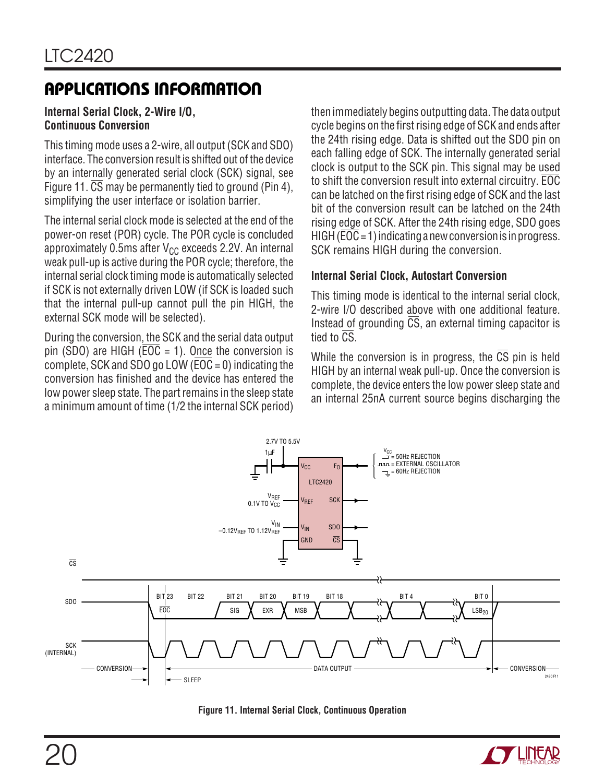#### **Internal Serial Clock, 2-Wire I/O, Continuous Conversion**

This timing mode uses a 2-wire, all output (SCK and SDO) interface. The conversion result is shifted out of the device by an internally generated serial clock (SCK) signal, see Figure 11. CS may be permanently tied to ground (Pin 4). simplifying the user interface or isolation barrier.

The internal serial clock mode is selected at the end of the power-on reset (POR) cycle. The POR cycle is concluded approximately 0.5ms after  $V_{CC}$  exceeds 2.2V. An internal weak pull-up is active during the POR cycle; therefore, the internal serial clock timing mode is automatically selected if SCK is not externally driven LOW (if SCK is loaded such that the internal pull-up cannot pull the pin HIGH, the external SCK mode will be selected).

During the conversion, the SCK and the serial data output pin (SDO) are HIGH ( $\overline{EOC} = 1$ ). Once the conversion is complete, SCK and SDO go LOW ( $\overline{EOC} = 0$ ) indicating the conversion has finished and the device has entered the low power sleep state. The part remains in the sleep state a minimum amount of time (1/2 the internal SCK period) then immediately begins outputting data. The data output cycle begins on the first rising edge of SCK and ends after the 24th rising edge. Data is shifted out the SDO pin on each falling edge of SCK. The internally generated serial clock is output to the SCK pin. This signal may be used to shift the conversion result into external circuitry. EOC can be latched on the first rising edge of SCK and the last bit of the conversion result can be latched on the 24th rising edge of SCK. After the 24th rising edge, SDO goes HIGH ( $\overline{EOC}$  = 1) indicating a new conversion is in progress. SCK remains HIGH during the conversion.

#### **Internal Serial Clock, Autostart Conversion**

This timing mode is identical to the internal serial clock, 2-wire I/O described above with one additional feature. Instead of grounding  $\overline{CS}$ , an external timing capacitor is tied to CS.

While the conversion is in progress, the CS pin is held HIGH by an internal weak pull-up. Once the conversion is complete, the device enters the low power sleep state and an internal 25nA current source begins discharging the





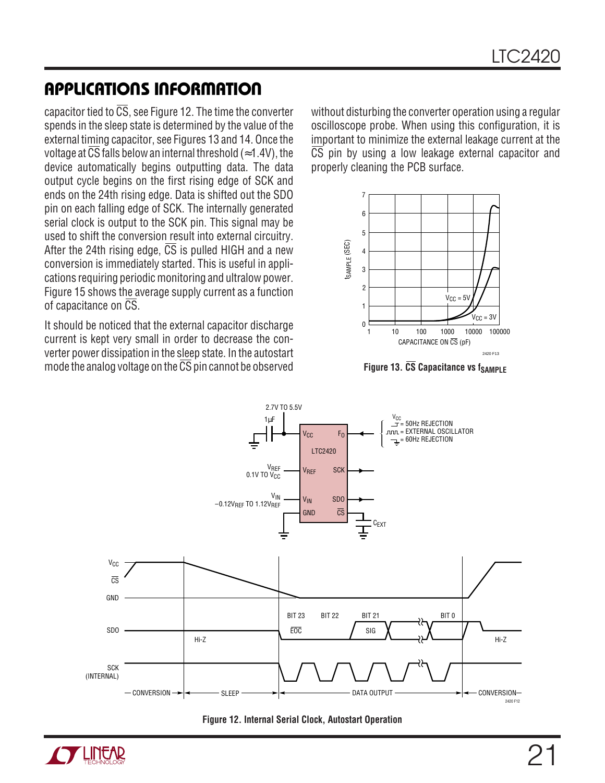capacitor tied to  $\overline{CS}$ , see Figure 12. The time the converter spends in the sleep state is determined by the value of the external timing capacitor, see Figures 13 and 14. Once the voltage at  $\overline{CS}$  falls below an internal threshold (≈1.4V), the device automatically begins outputting data. The data output cycle begins on the first rising edge of SCK and ends on the 24th rising edge. Data is shifted out the SDO pin on each falling edge of SCK. The internally generated serial clock is output to the SCK pin. This signal may be used to shift the conversion result into external circuitry. After the 24th rising edge,  $\overline{CS}$  is pulled HIGH and a new conversion is immediately started. This is useful in applications requiring periodic monitoring and ultralow power. Figure 15 shows the average supply current as a function of capacitance on  $\overline{\text{CS}}$ .

It should be noticed that the external capacitor discharge current is kept very small in order to decrease the converter power dissipation in the sleep state. In the autostart mode the analog voltage on the  $\overline{\text{CS}}$  pin cannot be observed

without disturbing the converter operation using a regular oscilloscope probe. When using this configuration, it is important to minimize the external leakage current at the  $\overline{CS}$  pin by using a low leakage external capacitor and properly cleaning the PCB surface.



**Figure 13. CS Capacitance vs fSAMPLE** 





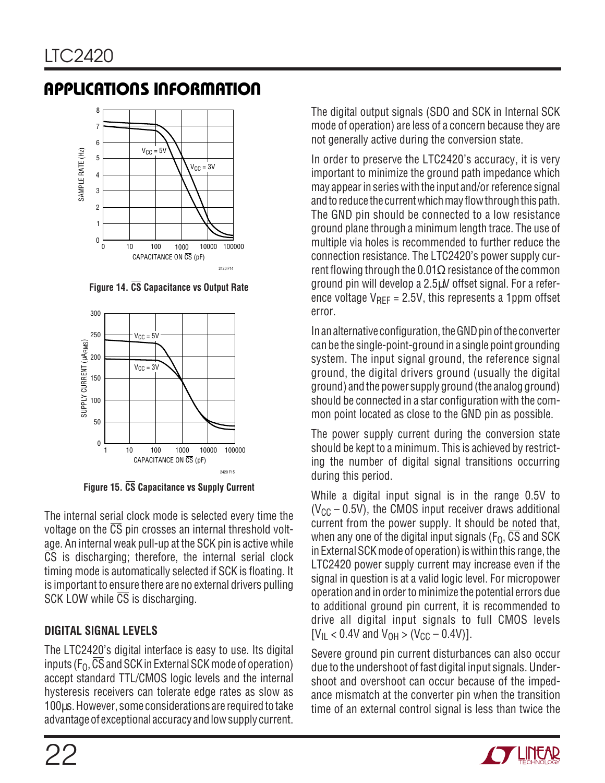

**Figure 14. CS Capacitance vs Output Rate**



**Figure 15. CS Capacitance vs Supply Current**

The internal serial clock mode is selected every time the voltage on the  $\overline{CS}$  pin crosses an internal threshold voltage. An internal weak pull-up at the SCK pin is active while  $\overline{CS}$  is discharging; therefore, the internal serial clock timing mode is automatically selected if SCK is floating. It is important to ensure there are no external drivers pulling SCK LOW while  $\overline{CS}$  is discharging.

### **DIGITAL SIGNAL LEVELS**

The LTC2420's digital interface is easy to use. Its digital inputs ( $F_0$ ,  $\overline{CS}$  and SCK in External SCK mode of operation) accept standard TTL/CMOS logic levels and the internal hysteresis receivers can tolerate edge rates as slow as 100µs. However, some considerations are required to take advantage of exceptional accuracy and low supply current. The digital output signals (SDO and SCK in Internal SCK mode of operation) are less of a concern because they are not generally active during the conversion state.

In order to preserve the LTC2420's accuracy, it is very important to minimize the ground path impedance which may appear in series with the input and/or reference signal and to reduce the current which may flow through this path. The GND pin should be connected to a low resistance ground plane through a minimum length trace. The use of multiple via holes is recommended to further reduce the connection resistance. The LTC2420's power supply current flowing through the 0.01 $\Omega$  resistance of the common ground pin will develop a 2.5µV offset signal. For a reference voltage  $V_{\text{RFF}} = 2.5V$ , this represents a 1ppm offset error.

In an alternative configuration, the GND pin of the converter can be the single-point-ground in a single point grounding system. The input signal ground, the reference signal ground, the digital drivers ground (usually the digital ground) and the power supply ground (the analog ground) should be connected in a star configuration with the common point located as close to the GND pin as possible.

The power supply current during the conversion state should be kept to a minimum. This is achieved by restricting the number of digital signal transitions occurring during this period.

While a digital input signal is in the range 0.5V to  $(V_{CC} - 0.5V)$ , the CMOS input receiver draws additional current from the power supply. It should be noted that, when any one of the digital input signals ( $F_0$ ,  $\overline{CS}$  and SCK in External SCK mode of operation) is within this range, the LTC2420 power supply current may increase even if the signal in question is at a valid logic level. For micropower operation and in order to minimize the potential errors due to additional ground pin current, it is recommended to drive all digital input signals to full CMOS levels  $[V_{IL} < 0.4V$  and  $V_{OH} > (V_{CC} - 0.4V)$ ].

Severe ground pin current disturbances can also occur due to the undershoot of fast digital input signals. Undershoot and overshoot can occur because of the impedance mismatch at the converter pin when the transition time of an external control signal is less than twice the

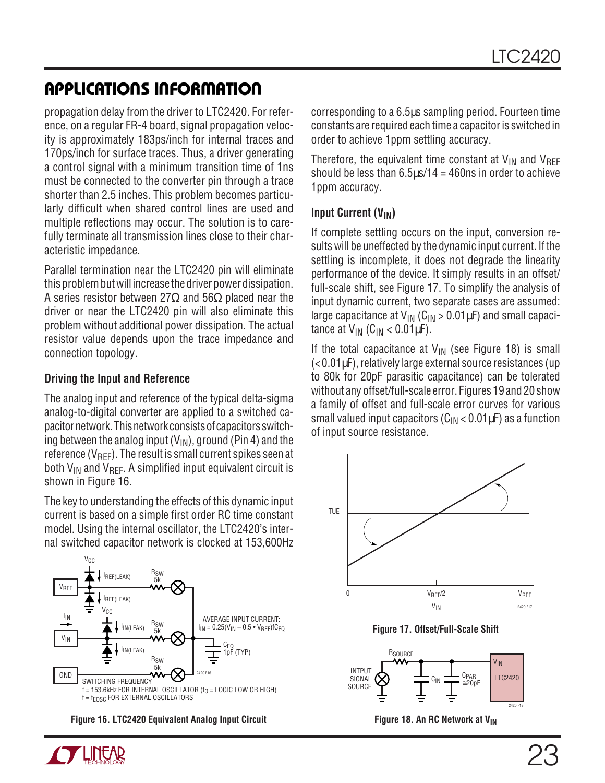propagation delay from the driver to LTC2420. For reference, on a regular FR-4 board, signal propagation velocity is approximately 183ps/inch for internal traces and 170ps/inch for surface traces. Thus, a driver generating a control signal with a minimum transition time of 1ns must be connected to the converter pin through a trace shorter than 2.5 inches. This problem becomes particularly difficult when shared control lines are used and multiple reflections may occur. The solution is to carefully terminate all transmission lines close to their characteristic impedance.

Parallel termination near the LTC2420 pin will eliminate this problem but will increase the driver power dissipation. A series resistor between 27 $\Omega$  and 56 $\Omega$  placed near the driver or near the LTC2420 pin will also eliminate this problem without additional power dissipation. The actual resistor value depends upon the trace impedance and connection topology.

#### **Driving the Input and Reference**

The analog input and reference of the typical delta-sigma analog-to-digital converter are applied to a switched capacitor network. This network consists of capacitors switching between the analog input  $(V_{IN})$ , ground (Pin 4) and the reference ( $V_{\text{RFF}}$ ). The result is small current spikes seen at both  $V_{IN}$  and  $V_{RFF}$ . A simplified input equivalent circuit is shown in Figure 16.

The key to understanding the effects of this dynamic input current is based on a simple first order RC time constant model. Using the internal oscillator, the LTC2420's internal switched capacitor network is clocked at 153,600Hz



**Figure 16. LTC2420 Equivalent Analog Input Circuit**



Therefore, the equivalent time constant at  $V_{IN}$  and  $V_{REF}$ should be less than  $6.5\mu s/14 = 460$ ns in order to achieve 1ppm accuracy.

#### **Input Current (V<sub>IN</sub>)**

If complete settling occurs on the input, conversion results will be uneffected by the dynamic input current. If the settling is incomplete, it does not degrade the linearity performance of the device. It simply results in an offset/ full-scale shift, see Figure 17. To simplify the analysis of input dynamic current, two separate cases are assumed: large capacitance at  $V_{IN}$  (C<sub>IN</sub> > 0.01 $\mu$ F) and small capacitance at  $V_{IN}$  (C<sub>IN</sub> < 0.01 $\mu$ F).

If the total capacitance at  $V_{IN}$  (see Figure 18) is small (<0.01µF), relatively large external source resistances (up to 80k for 20pF parasitic capacitance) can be tolerated without any offset/full-scale error. Figures 19 and 20 show a family of offset and full-scale error curves for various small valued input capacitors ( $C_{IN}$  < 0.01 $\mu$ F) as a function of input source resistance.



**Figure 17. Offset/Full-Scale Shift**



**Figure 18. An RC Network at VIN**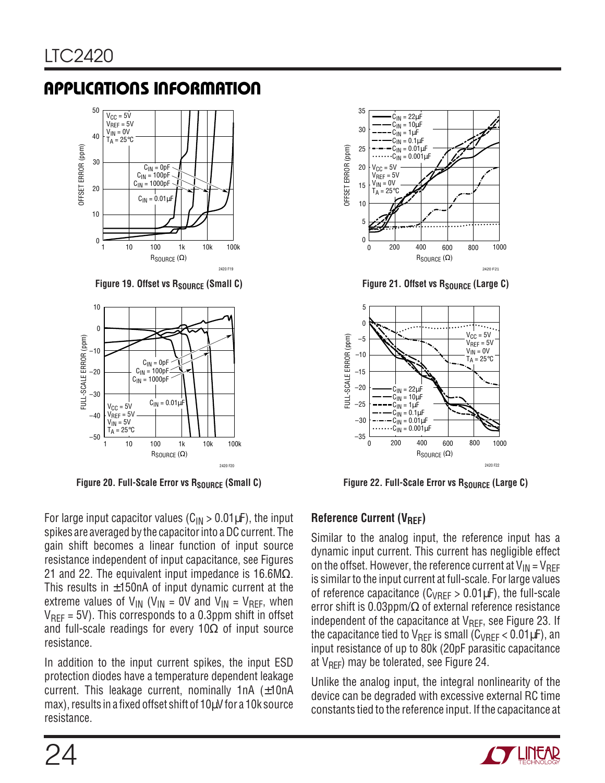

**Figure 19. Offset vs RSOURCE (Small C)** 



Figure 20. Full-Scale Error vs R<sub>SOURCE</sub> (Small C)

For large input capacitor values ( $C_{IN} > 0.01 \mu F$ ), the input spikes are averaged by the capacitor into a DC current. The gain shift becomes a linear function of input source resistance independent of input capacitance, see Figures 21 and 22. The equivalent input impedance is 16.6M $\Omega$ . This results in  $\pm$ 150nA of input dynamic current at the extreme values of  $V_{IN}$  (V<sub>IN</sub> = 0V and V<sub>IN</sub> = V<sub>REF</sub>, when  $V_{\text{RFF}}$  = 5V). This corresponds to a 0.3ppm shift in offset and full-scale readings for every 10 $\Omega$  of input source resistance.

In addition to the input current spikes, the input ESD protection diodes have a temperature dependent leakage current. This leakage current, nominally  $1nA$  ( $\pm 10nA$ max), results in a fixed offset shift of 10µV for a 10k source resistance.



Figure 21. Offset vs R<sub>SOURCE</sub> (Large C)



Figure 22. Full-Scale Error vs R<sub>SOURCE</sub> (Large C)

#### **Reference Current (V<sub>RFF</sub>)**

Similar to the analog input, the reference input has a dynamic input current. This current has negligible effect on the offset. However, the reference current at  $V_{IN} = V_{REF}$ is similar to the input current at full-scale. For large values of reference capacitance ( $C_{VREF} > 0.01 \mu F$ ), the full-scale error shift is 0.03ppm/ $\Omega$  of external reference resistance independent of the capacitance at  $V_{\text{RFF}}$ , see Figure 23. If the capacitance tied to  $V_{\text{RFF}}$  is small ( $C_{\text{VRFF}}$  < 0.01 $\mu$ F), an input resistance of up to 80k (20pF parasitic capacitance at  $V_{REF}$ ) may be tolerated, see Figure 24.

Unlike the analog input, the integral nonlinearity of the device can be degraded with excessive external RC time constants tied to the reference input. If the capacitance at

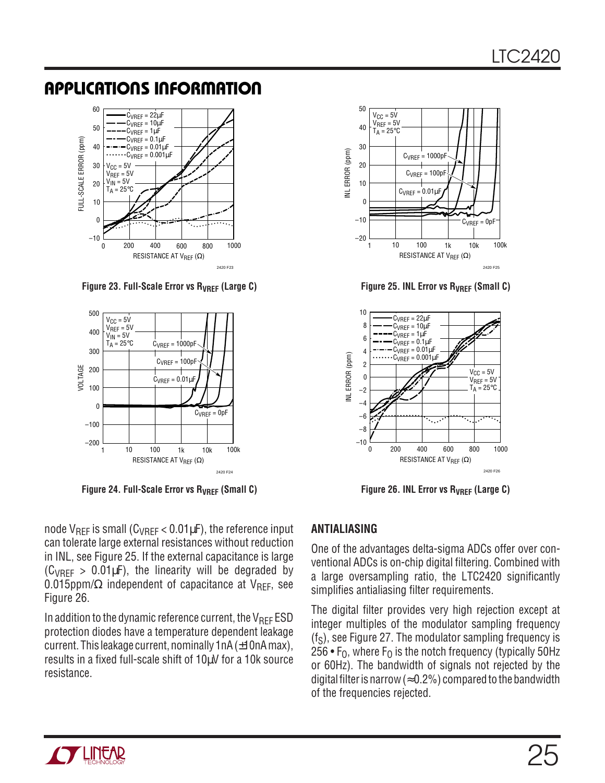

Figure 23. Full-Scale Error vs R<sub>VREF</sub> (Large C)



Figure 24. Full-Scale Error vs R<sub>VREF</sub> (Small C)

node  $V_{\text{RFF}}$  is small ( $C_{\text{VRFF}}$  < 0.01 $\mu$ F), the reference input can tolerate large external resistances without reduction in INL, see Figure 25. If the external capacitance is large  $(C_{VRFF} > 0.01 \mu F)$ , the linearity will be degraded by 0.015ppm/ $\Omega$  independent of capacitance at V<sub>RFF</sub>, see Figure 26.

In addition to the dynamic reference current, the  $V_{REF}$  ESD protection diodes have a temperature dependent leakage current. This leakage current, nominally 1 nA  $(\pm 10nA \text{ max})$ , results in a fixed full-scale shift of 10µV for a 10k source resistance.



**Figure 25. INL Error vs RVREF (Small C)**



**Figure 26. INL Error vs RVREF (Large C)**

#### **ANTIALIASING**

One of the advantages delta-sigma ADCs offer over conventional ADCs is on-chip digital filtering. Combined with a large oversampling ratio, the LTC2420 significantly simplifies antialiasing filter requirements.

The digital filter provides very high rejection except at integer multiples of the modulator sampling frequency  $(f<sub>S</sub>)$ , see Figure 27. The modulator sampling frequency is 256 •  $F_0$ , where  $F_0$  is the notch frequency (typically 50Hz or 60Hz). The bandwidth of signals not rejected by the digital filter is narrow ( $\approx$  0.2%) compared to the bandwidth of the frequencies rejected.

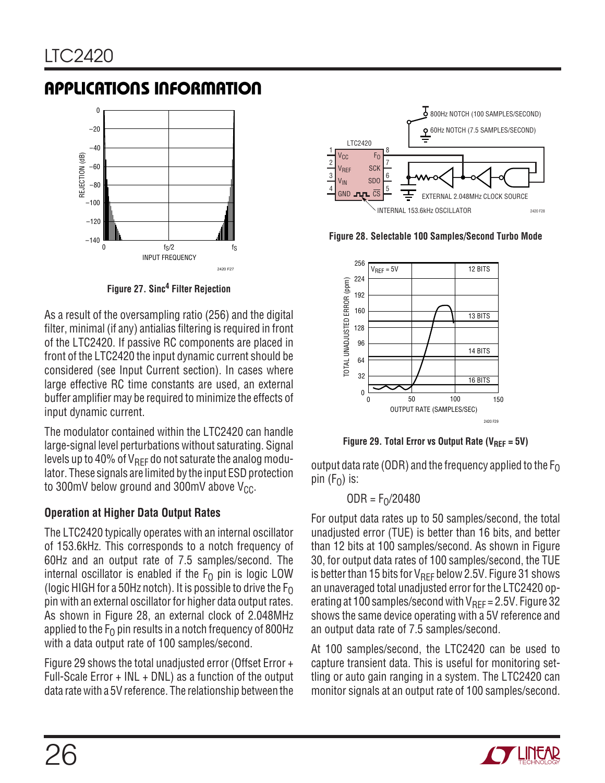

**Figure 27. Sinc4 Filter Rejection**

As a result of the oversampling ratio (256) and the digital filter, minimal (if any) antialias filtering is required in front of the LTC2420. If passive RC components are placed in front of the LTC2420 the input dynamic current should be considered (see Input Current section). In cases where large effective RC time constants are used, an external buffer amplifier may be required to minimize the effects of input dynamic current.

The modulator contained within the LTC2420 can handle large-signal level perturbations without saturating. Signal levels up to 40% of  $V_{\text{RFF}}$  do not saturate the analog modulator. These signals are limited by the input ESD protection to 300mV below ground and 300mV above  $V_{CC}$ .

#### **Operation at Higher Data Output Rates**

The LTC2420 typically operates with an internal oscillator of 153.6kHz. This corresponds to a notch frequency of 60Hz and an output rate of 7.5 samples/second. The internal oscillator is enabled if the  $F_0$  pin is logic LOW (logic HIGH for a 50Hz notch). It is possible to drive the  $F_0$ pin with an external oscillator for higher data output rates. As shown in Figure 28, an external clock of 2.048MHz applied to the  $F<sub>0</sub>$  pin results in a notch frequency of 800Hz with a data output rate of 100 samples/second.

Figure 29 shows the total unadjusted error (Offset Error + Full-Scale Error + INL + DNL) as a function of the output data rate with a 5V reference. The relationship between the



**Figure 28. Selectable 100 Samples/Second Turbo Mode**



Figure 29. Total Error vs Output Rate (V<sub>REF</sub> = 5V)

output data rate (ODR) and the frequency applied to the  $F_0$ pin  $(F_0)$  is:

$$
\mathsf{ODR} = \mathsf{F}_0/20480
$$

For output data rates up to 50 samples/second, the total unadjusted error (TUE) is better than 16 bits, and better than 12 bits at 100 samples/second. As shown in Figure 30, for output data rates of 100 samples/second, the TUE is better than 15 bits for  $V_{REF}$  below 2.5V. Figure 31 shows an unaveraged total unadjusted error for the LTC2420 operating at 100 samples/second with  $V_{\text{RFF}} = 2.5V$ . Figure 32 shows the same device operating with a 5V reference and an output data rate of 7.5 samples/second.

At 100 samples/second, the LTC2420 can be used to capture transient data. This is useful for monitoring settling or auto gain ranging in a system. The LTC2420 can monitor signals at an output rate of 100 samples/second.

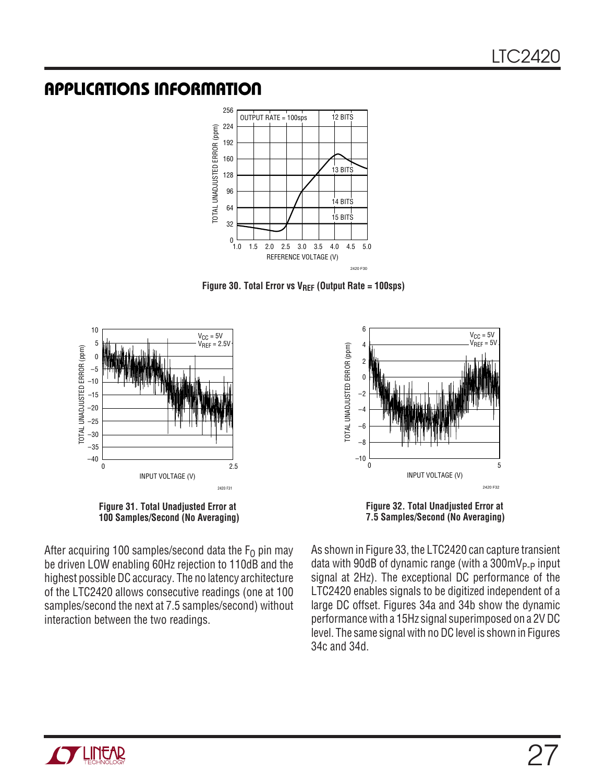

Figure 30. Total Error vs V<sub>REF</sub> (Output Rate = 100sps)





**Figure 32. Total Unadjusted Error at 7.5 Samples/Second (No Averaging)**

After acquiring 100 samples/second data the  $F_0$  pin may be driven LOW enabling 60Hz rejection to 110dB and the highest possible DC accuracy. The no latency architecture of the LTC2420 allows consecutive readings (one at 100 samples/second the next at 7.5 samples/second) without interaction between the two readings.

As shown in Figure 33, the LTC2420 can capture transient data with 90dB of dynamic range (with a  $300 \text{mV}_{P-P}$  input signal at 2Hz). The exceptional DC performance of the LTC2420 enables signals to be digitized independent of a large DC offset. Figures 34a and 34b show the dynamic performance with a 15Hz signal superimposed on a 2V DC level. The same signal with no DC level is shown in Figures 34c and 34d.

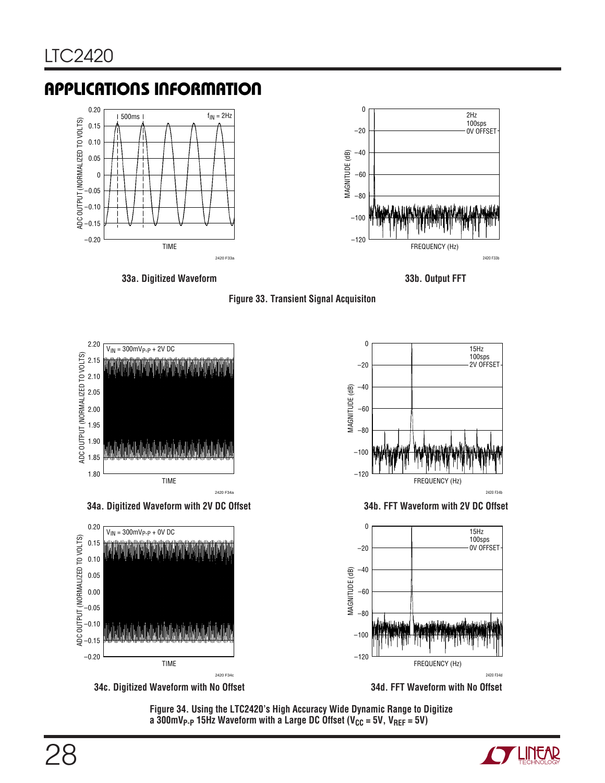



**33a. Digitized Waveform 33b. Output FFT**





**34c. Digitized Waveform with No Offset**

**34d. FFT Waveform with No Offset**

**Figure 34. Using the LTC2420's High Accuracy Wide Dynamic Range to Digitize** a 300mV<sub>P-P</sub> 15Hz Waveform with a Large DC Offset (V<sub>CC</sub> = 5V, V<sub>REF</sub> = 5V)

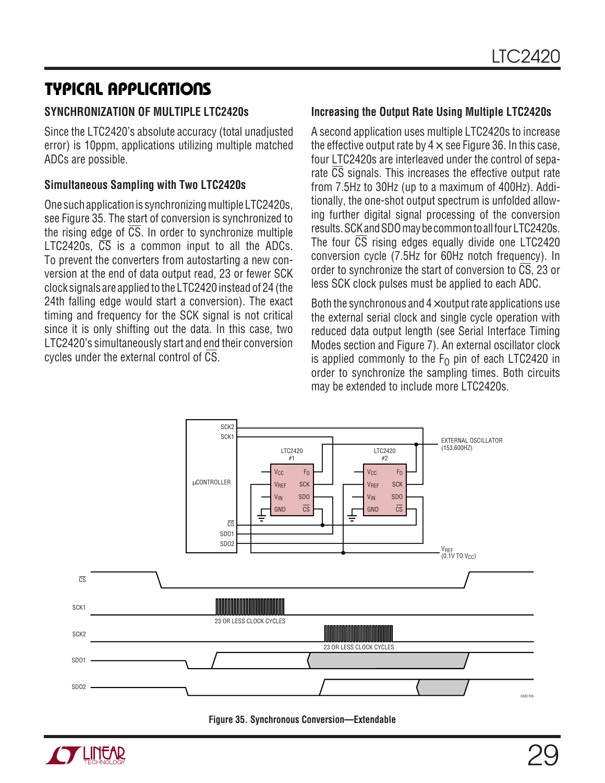#### **SYNCHRONIZATION OF MULTIPLE LTC2420s**

Since the LTC2420's absolute accuracy (total unadjusted error) is 10ppm, applications utilizing multiple matched ADCs are possible.

#### **Simultaneous Sampling with Two LTC2420s**

One such application is synchronizing multiple LTC2420s, see Figure 35. The start of conversion is synchronized to the rising edge of  $\overline{CS}$ . In order to synchronize multiple LTC2420s,  $\overline{CS}$  is a common input to all the ADCs. To prevent the converters from autostarting a new conversion at the end of data output read, 23 or fewer SCK clock signals are applied to the LTC2420 instead of 24 (the 24th falling edge would start a conversion). The exact timing and frequency for the SCK signal is not critical since it is only shifting out the data. In this case, two LTC2420's simultaneously start and end their conversion cycles under the external control of CS.

#### **Increasing the Output Rate Using Multiple LTC2420s**

A second application uses multiple LTC2420s to increase the effective output rate by  $4\times$ , see Figure 36. In this case, four LTC2420s are interleaved under the control of separate CS signals. This increases the effective output rate from 7.5Hz to 30Hz (up to a maximum of 400Hz). Additionally, the one-shot output spectrum is unfolded allowing further digital signal processing of the conversion results. SCK and SDO may be common to all four LTC2420s. The four  $\overline{CS}$  rising edges equally divide one LTC2420 conversion cycle (7.5Hz for 60Hz notch frequency). In order to synchronize the start of conversion to  $\overline{CS}$ , 23 or less SCK clock pulses must be applied to each ADC.

Both the synchronous and  $4\times$  output rate applications use the external serial clock and single cycle operation with reduced data output length (see Serial Interface Timing Modes section and Figure 7). An external oscillator clock is applied commonly to the  $F<sub>0</sub>$  pin of each LTC2420 in order to synchronize the sampling times. Both circuits may be extended to include more LTC2420s.



**Figure 35. Synchronous Conversion—Extendable**

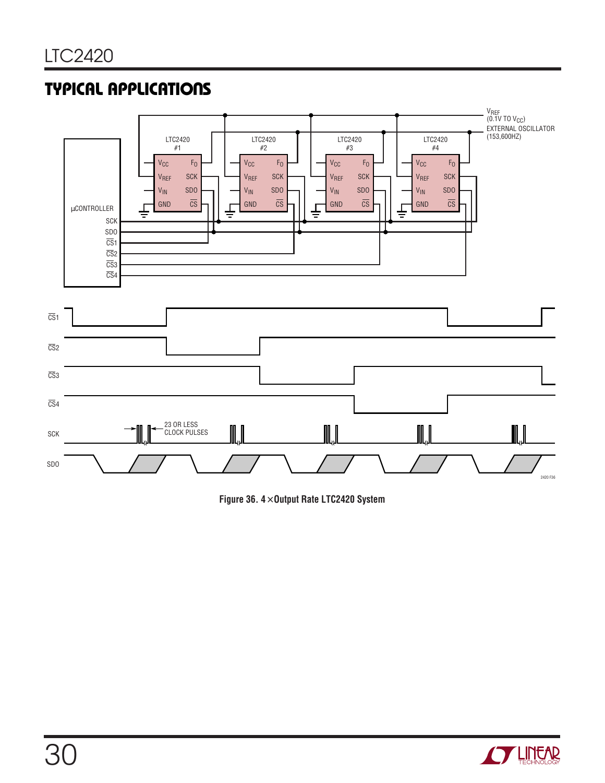

**Figure 36. 4**× **Output Rate LTC2420 System**

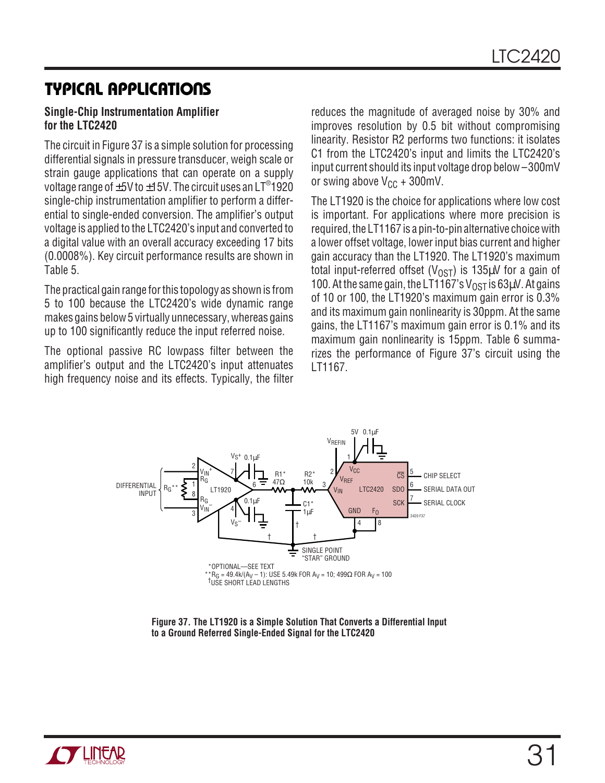#### **Single-Chip Instrumentation Amplifier for the LTC2420**

The circuit in Figure 37 is a simple solution for processing differential signals in pressure transducer, weigh scale or strain gauge applications that can operate on a supply voltage range of  $\pm 5$ V to  $\pm 15$ V. The circuit uses an LT®1920 single-chip instrumentation amplifier to perform a differential to single-ended conversion. The amplifier's output voltage is applied to the LTC2420's input and converted to a digital value with an overall accuracy exceeding 17 bits (0.0008%). Key circuit performance results are shown in Table 5.

The practical gain range for this topology as shown is from 5 to 100 because the LTC2420's wide dynamic range makes gains below 5 virtually unnecessary, whereas gains up to 100 significantly reduce the input referred noise.

The optional passive RC lowpass filter between the amplifier's output and the LTC2420's input attenuates high frequency noise and its effects. Typically, the filter reduces the magnitude of averaged noise by 30% and improves resolution by 0.5 bit without compromising linearity. Resistor R2 performs two functions: it isolates C1 from the LTC2420's input and limits the LTC2420's input current should its input voltage drop below –300mV or swing above  $V_{CC}$  + 300mV.

The LT1920 is the choice for applications where low cost is important. For applications where more precision is required, the LT1167 is a pin-to-pin alternative choice with a lower offset voltage, lower input bias current and higher gain accuracy than the LT1920. The LT1920's maximum total input-referred offset ( $V_{\text{OST}}$ ) is 135 $\mu$ V for a gain of 100. At the same gain, the LT1167's  $V_{\text{OST}}$  is 63 $\mu$ V. At gains of 10 or 100, the LT1920's maximum gain error is 0.3% and its maximum gain nonlinearity is 30ppm. At the same gains, the LT1167's maximum gain error is 0.1% and its maximum gain nonlinearity is 15ppm. Table 6 summarizes the performance of Figure 37's circuit using the LT1167.



**Figure 37. The LT1920 is a Simple Solution That Converts a Differential Input to a Ground Referred Single-Ended Signal for the LTC2420**

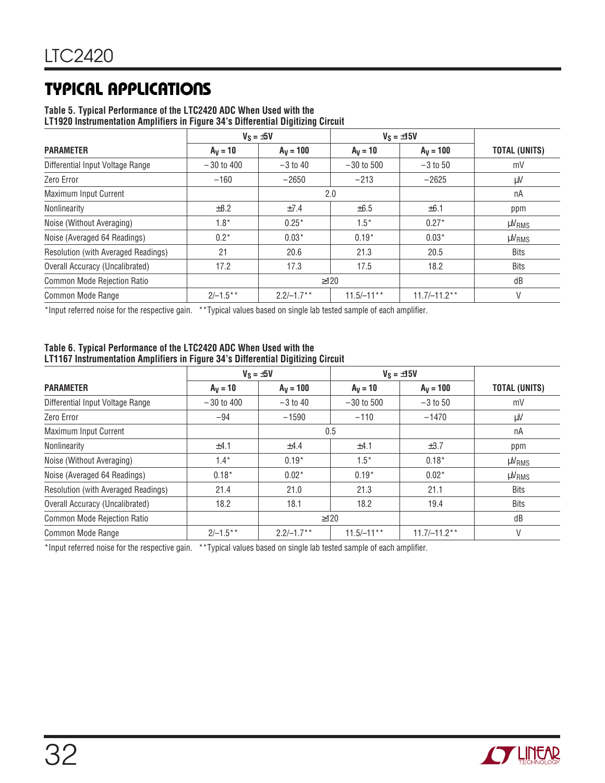### **Table 5. Typical Performance of the LTC2420 ADC When Used with the**

**LT1920 Instrumentation Amplifiers in Figure 34's Differential Digitizing Circuit**

|                                     |              | $V_S = \pm 5V$<br>$V_S = \pm 15V$ |              |                |                      |
|-------------------------------------|--------------|-----------------------------------|--------------|----------------|----------------------|
| <b>PARAMETER</b>                    | $A_V = 10$   | $A_V = 100$                       | $A_V = 10$   | $A_V = 100$    | <b>TOTAL (UNITS)</b> |
| Differential Input Voltage Range    | $-30$ to 400 | $-3$ to 40                        | $-30$ to 500 | $-3$ to 50     | mV                   |
| Zero Error                          | $-160$       | $-2650$                           | $-213$       | $-2625$        | $\mu$ V              |
| Maximum Input Current               |              |                                   | 2.0          |                | nA                   |
| Nonlinearity                        | $\pm$ 8.2    | ±7.4                              | $\pm 6.5$    | $\pm 6.1$      | ppm                  |
| Noise (Without Averaging)           | $1.8^*$      | $0.25*$                           | $1.5*$       | $0.27*$        | <b>µVRMS</b>         |
| Noise (Averaged 64 Readings)        | $0.2*$       | $0.03*$                           | $0.19*$      | $0.03*$        | <b>µVRMS</b>         |
| Resolution (with Averaged Readings) | 21           | 20.6                              | 21.3         | 20.5           | <b>Bits</b>          |
| Overall Accuracy (Uncalibrated)     | 17.2         | 17.3                              | 17.5         | 18.2           | Bits                 |
| Common Mode Rejection Ratio         |              | $\geq$ 120                        |              |                | dB                   |
| Common Mode Range                   | $2/-1.5**$   | $2.2/-1.7***$                     | $11.5/-11**$ | $11.7/-11.2**$ | V                    |

\*Input referred noise for the respective gain. \*\*Typical values based on single lab tested sample of each amplifier.

#### **Table 6. Typical Performance of the LTC2420 ADC When Used with the LT1167 Instrumentation Amplifiers in Figure 34's Differential Digitizing Circuit**

|                                     | $V_S = \pm 5V$ |              |              | $V_S = \pm 15V$ |                      |
|-------------------------------------|----------------|--------------|--------------|-----------------|----------------------|
| <b>PARAMETER</b>                    | $A_V = 10$     | $A_V = 100$  | $A_V = 10$   | $A_V = 100$     | <b>TOTAL (UNITS)</b> |
| Differential Input Voltage Range    | $-30$ to 400   | $-3$ to 40   | $-30$ to 500 | $-3$ to 50      | mV                   |
| Zero Error                          | $-94$          | $-1590$      | $-110$       | $-1470$         | $\mu$ V              |
| Maximum Input Current               |                | 0.5          |              |                 | nA                   |
| Nonlinearity                        | ±4.1           | ±4.4         | ±4.1         | $\pm 3.7$       | ppm                  |
| Noise (Without Averaging)           | $1.4*$         | $0.19*$      | $1.5*$       | $0.18*$         | $\mu V_{RMS}$        |
| Noise (Averaged 64 Readings)        | $0.18*$        | $0.02*$      | $0.19*$      | $0.02*$         | $\mu V_{RMS}$        |
| Resolution (with Averaged Readings) | 21.4           | 21.0         | 21.3         | 21.1            | <b>Bits</b>          |
| Overall Accuracy (Uncalibrated)     | 18.2           | 18.1         | 18.2         | 19.4            | <b>Bits</b>          |
| Common Mode Rejection Ratio         |                | $\geq$ 120   |              |                 | dB                   |
| Common Mode Range                   | $2/-1.5**$     | $2.2/-1.7**$ | $11.5/-11**$ | $11.7/-11.2**$  | V                    |

\*Input referred noise for the respective gain. \*\*Typical values based on single lab tested sample of each amplifier.

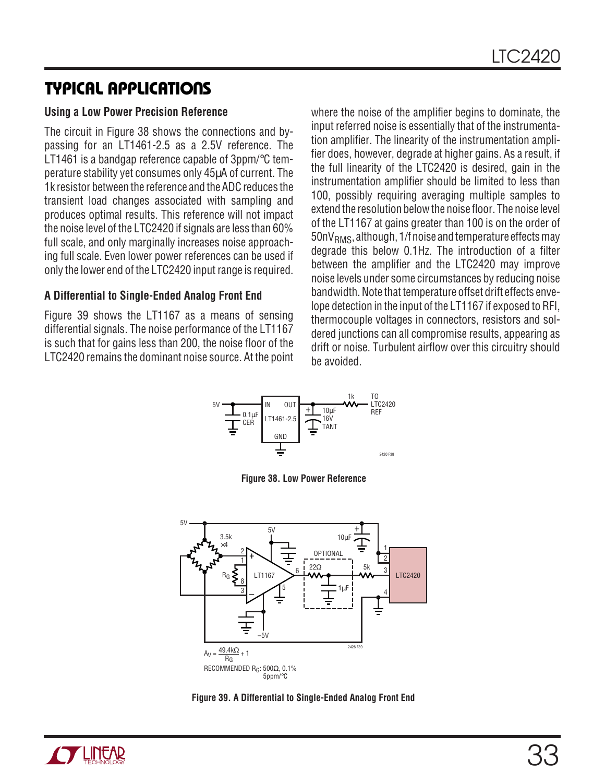#### **Using a Low Power Precision Reference**

The circuit in Figure 38 shows the connections and bypassing for an LT1461-2.5 as a 2.5V reference. The LT1461 is a bandgap reference capable of 3ppm/°C temperature stability yet consumes only 45µA of current. The 1k resistor between the reference and the ADC reduces the transient load changes associated with sampling and produces optimal results. This reference will not impact the noise level of the LTC2420 if signals are less than 60% full scale, and only marginally increases noise approaching full scale. Even lower power references can be used if only the lower end of the LTC2420 input range is required.

#### **A Differential to Single-Ended Analog Front End**

Figure 39 shows the LT1167 as a means of sensing differential signals. The noise performance of the LT1167 is such that for gains less than 200, the noise floor of the LTC2420 remains the dominant noise source. At the point where the noise of the amplifier begins to dominate, the input referred noise is essentially that of the instrumentation amplifier. The linearity of the instrumentation amplifier does, however, degrade at higher gains. As a result, if the full linearity of the LTC2420 is desired, gain in the instrumentation amplifier should be limited to less than 100, possibly requiring averaging multiple samples to extend the resolution below the noise floor. The noise level of the LT1167 at gains greater than 100 is on the order of  $50nV<sub>RMS</sub>$ , although, 1/f noise and temperature effects may degrade this below 0.1Hz. The introduction of a filter between the amplifier and the LTC2420 may improve noise levels under some circumstances by reducing noise bandwidth. Note that temperature offset drift effects envelope detection in the input of the LT1167 if exposed to RFI, thermocouple voltages in connectors, resistors and soldered junctions can all compromise results, appearing as drift or noise. Turbulent airflow over this circuitry should be avoided.



**Figure 38. Low Power Reference**



**Figure 39. A Differential to Single-Ended Analog Front End**

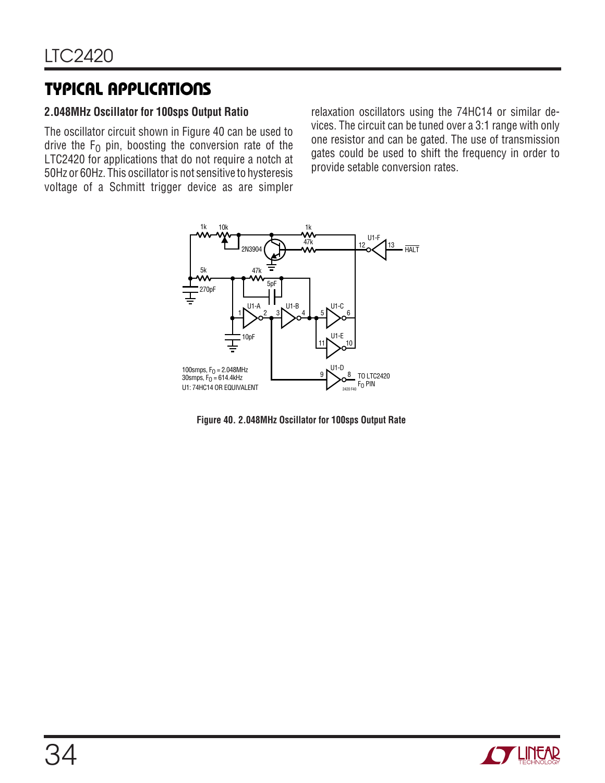#### **2.048MHz Oscillator for 100sps Output Ratio**

The oscillator circuit shown in Figure 40 can be used to drive the  $F_0$  pin, boosting the conversion rate of the LTC2420 for applications that do not require a notch at 50Hz or 60Hz. This oscillator is not sensitive to hysteresis voltage of a Schmitt trigger device as are simpler relaxation oscillators using the 74HC14 or similar devices. The circuit can be tuned over a 3:1 range with only one resistor and can be gated. The use of transmission gates could be used to shift the frequency in order to provide setable conversion rates.



**Figure 40. 2.048MHz Oscillator for 100sps Output Rate**

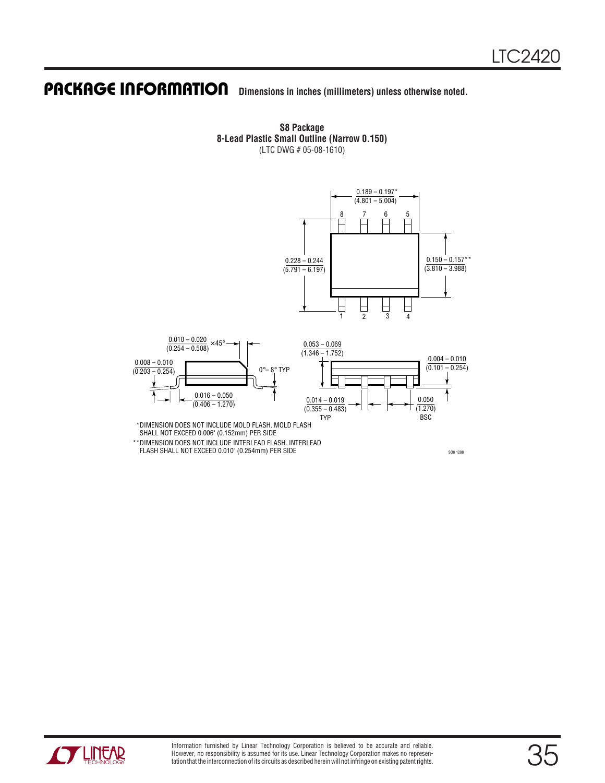# **PACKAGE INFORMATION** Dimensions in inches (millimeters) unless otherwise noted.

**S8 Package 8-Lead Plastic Small Outline (Narrow 0.150)** (LTC DWG # 05-08-1610)